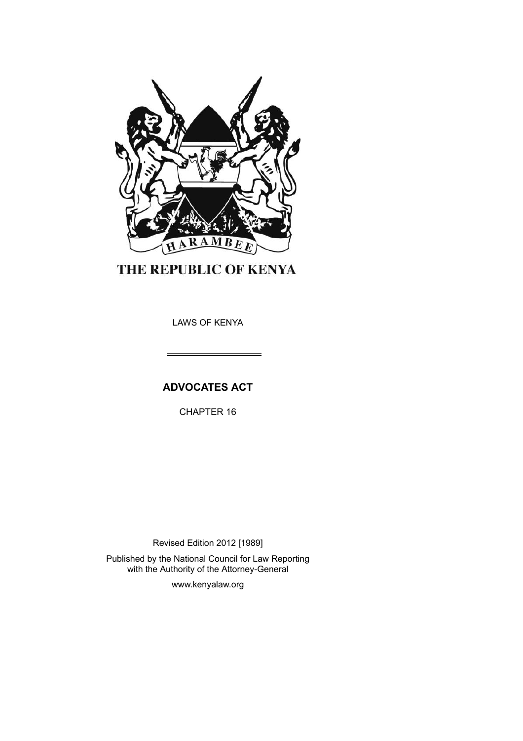

THE REPUBLIC OF KENYA

LAWS OF KENYA

**ADVOCATES ACT**

CHAPTER 16

Revised Edition 2012 [1989] Published by the National Council for Law Reporting with the Authority of the Attorney-General

www.kenyalaw.org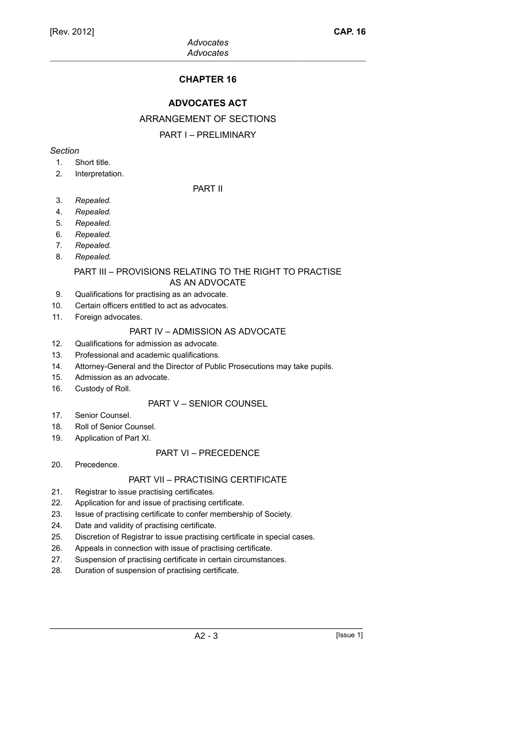# **CHAPTER 16**

# **ADVOCATES ACT**

# ARRANGEMENT OF SECTIONS

# PART I – PRELIMINARY

### *Section*

- 1. Short title.
- 2. Interpretation.

# PART II

- 3. *Repealed.*
- 4. *Repealed.*
- 5. *Repealed.*
- 6. *Repealed.*
- 7. *Repealed.*
- 8. *Repealed.*

#### PART III – PROVISIONS RELATING TO THE RIGHT TO PRACTISE AS AN ADVOCATE

- 9. Qualifications for practising as an advocate.
- 10. Certain officers entitled to act as advocates.
- 11. Foreign advocates.

### PART IV – ADMISSION AS ADVOCATE

- 12. Qualifications for admission as advocate.
- 13. Professional and academic qualifications.
- 14. Attorney-General and the Director of Public Prosecutions may take pupils.
- 15. Admission as an advocate.
- 16. Custody of Roll.

# PART V – SENIOR COUNSEL

- 17. Senior Counsel.
- 18. Roll of Senior Counsel.
- 19. Application of Part XI.

### PART VI – PRECEDENCE

20. Precedence.

# PART VII – PRACTISING CERTIFICATE

- 21. Registrar to issue practising certificates.
- 22. Application for and issue of practising certificate.
- 23. Issue of practising certificate to confer membership of Society.
- 24. Date and validity of practising certificate.
- 25. Discretion of Registrar to issue practising certificate in special cases.
- 26. Appeals in connection with issue of practising certificate.
- 27. Suspension of practising certificate in certain circumstances.
- 28. Duration of suspension of practising certificate.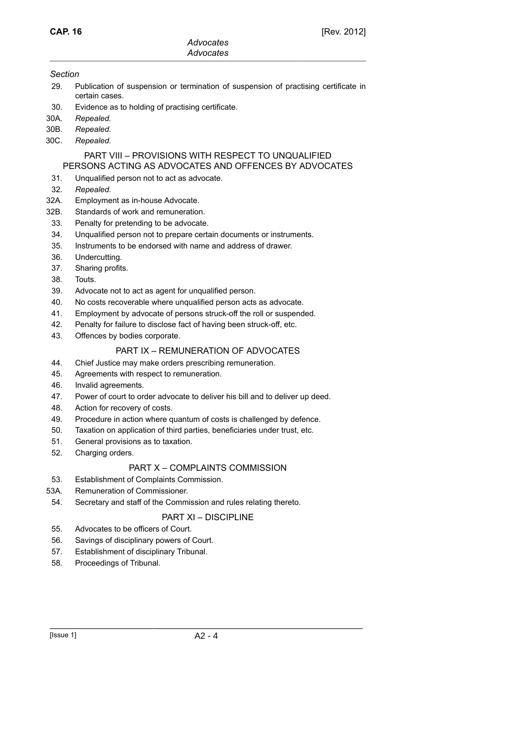#### *Section*

- 29. Publication of suspension or termination of suspension of practising certificate in certain cases.
- 30. Evidence as to holding of practising certificate.
- 30A. *Repealed.*
- 30B. *Repealed.*
- 30C. *Repealed.*

# PART VIII – PROVISIONS WITH RESPECT TO UNQUALIFIED

# PERSONS ACTING AS ADVOCATES AND OFFENCES BY ADVOCATES

- 31. Unqualified person not to act as advocate.
- 32. *Repealed*.
- 32A. Employment as in-house Advocate.
- 32B. Standards of work and remuneration.
- 33. Penalty for pretending to be advocate.
- 34. Unqualified person not to prepare certain documents or instruments.
- 35. Instruments to be endorsed with name and address of drawer.
- 36. Undercutting.
- 37. Sharing profits.
- 38. Touts.
- 39. Advocate not to act as agent for unqualified person.
- 40. No costs recoverable where unqualified person acts as advocate.
- 41. Employment by advocate of persons struck-off the roll or suspended.
- 42. Penalty for failure to disclose fact of having been struck-off, etc.
- 43. Offences by bodies corporate.

# PART IX – REMUNERATION OF ADVOCATES

- 44. Chief Justice may make orders prescribing remuneration.
- 45. Agreements with respect to remuneration.
- 46. Invalid agreements.
- 47. Power of court to order advocate to deliver his bill and to deliver up deed.
- 48. Action for recovery of costs.
- 49. Procedure in action where quantum of costs is challenged by defence.
- 50. Taxation on application of third parties, beneficiaries under trust, etc.
- 51. General provisions as to taxation.
- 52. Charging orders.

# PART X – COMPLAINTS COMMISSION

- 53. Establishment of Complaints Commission.
- 53A. Remuneration of Commissioner.
- 54. Secretary and staff of the Commission and rules relating thereto.

# PART XI – DISCIPLINE

- 55. Advocates to be officers of Court.
- 56. Savings of disciplinary powers of Court.
- 57. Establishment of disciplinary Tribunal.
- 58. Proceedings of Tribunal.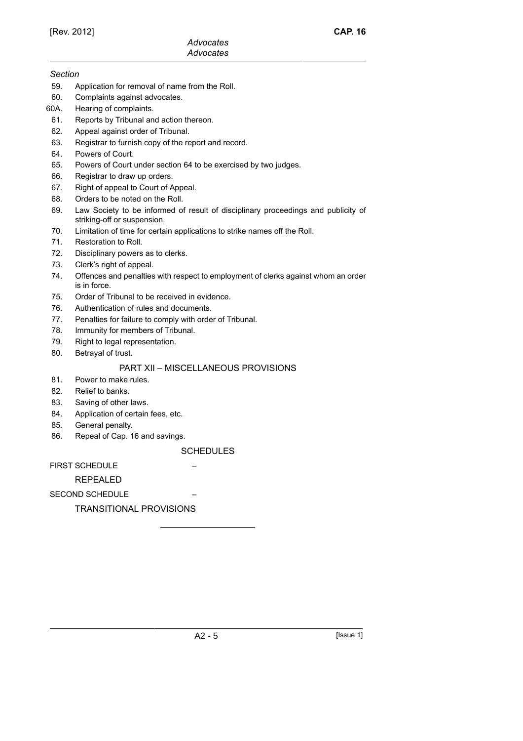#### *Section*

- 59. Application for removal of name from the Roll.
- 60. Complaints against advocates.
- 60A. Hearing of complaints.
- 61. Reports by Tribunal and action thereon.
- 62. Appeal against order of Tribunal.
- 63. Registrar to furnish copy of the report and record.
- 64. Powers of Court.
- 65. Powers of Court under section 64 to be exercised by two judges.
- 66. Registrar to draw up orders.
- 67. Right of appeal to Court of Appeal.
- 68. Orders to be noted on the Roll.
- 69. Law Society to be informed of result of disciplinary proceedings and publicity of striking-off or suspension.
- 70. Limitation of time for certain applications to strike names off the Roll.
- 71. Restoration to Roll.
- 72. Disciplinary powers as to clerks.
- 73. Clerk's right of appeal.
- 74. Offences and penalties with respect to employment of clerks against whom an order is in force.
- 75. Order of Tribunal to be received in evidence.
- 76. Authentication of rules and documents.
- 77. Penalties for failure to comply with order of Tribunal.
- 78. Immunity for members of Tribunal.
- 79. Right to legal representation.
- 80. Betrayal of trust.

### PART XII – MISCELLANEOUS PROVISIONS

- 81. Power to make rules.
- 82. Relief to banks.
- 83. Saving of other laws.
- 84. Application of certain fees, etc.
- 85. General penalty.
- 86. Repeal of Cap. 16 and savings.

#### **SCHEDULES**

**FIRST SCHEDULE** 

REPEALED

SECOND SCHEDULE

# TRANSITIONAL PROVISIONS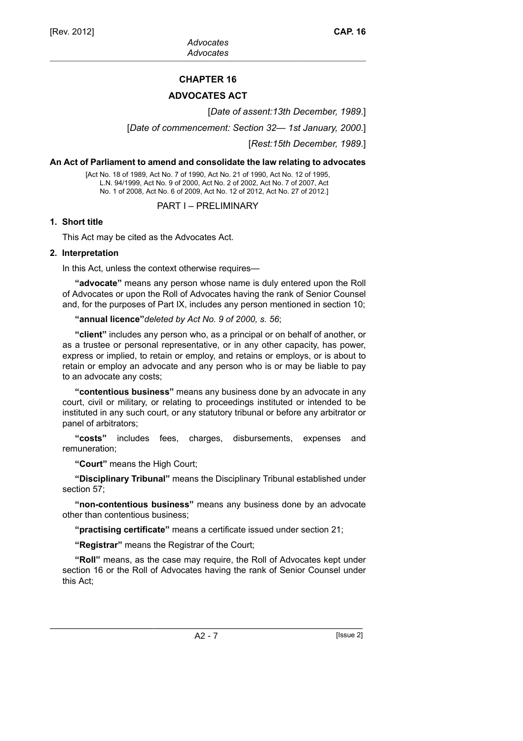# **CHAPTER 16**

# **ADVOCATES ACT**

[*Date of assent:13th December, 1989*.]

[*Date of commencement: Section 32— 1st January, 2000*.]

[*Rest:15th December, 1989*.]

### **An Act of Parliament to amend and consolidate the law relating to advocates**

[Act No. 18 of 1989, Act No. 7 of 1990, Act No. 21 of 1990, Act No. 12 of 1995, L.N. 94/1999, Act No. 9 of 2000, Act No. 2 of 2002, Act No. 7 of 2007, Act No. 1 of 2008, Act No. 6 of 2009, Act No. 12 of 2012, Act No. 27 of 2012.]

PART I – PRELIMINARY

### **1. Short title**

This Act may be cited as the Advocates Act.

#### **2. Interpretation**

In this Act, unless the context otherwise requires—

**"advocate"** means any person whose name is duly entered upon the Roll of Advocates or upon the Roll of Advocates having the rank of Senior Counsel and, for the purposes of Part IX, includes any person mentioned in section 10;

**"annual licence"***deleted by Act No. 9 of 2000, s. 56*;

**"client"** includes any person who, as a principal or on behalf of another, or as a trustee or personal representative, or in any other capacity, has power, express or implied, to retain or employ, and retains or employs, or is about to retain or employ an advocate and any person who is or may be liable to pay to an advocate any costs;

**"contentious business"** means any business done by an advocate in any court, civil or military, or relating to proceedings instituted or intended to be instituted in any such court, or any statutory tribunal or before any arbitrator or panel of arbitrators;

**"costs"** includes fees, charges, disbursements, expenses and remuneration;

**"Court"** means the High Court;

**"Disciplinary Tribunal"** means the Disciplinary Tribunal established under section 57;

**"non-contentious business"** means any business done by an advocate other than contentious business;

**"practising certificate"** means a certificate issued under section 21;

**"Registrar"** means the Registrar of the Court;

**"Roll"** means, as the case may require, the Roll of Advocates kept under section 16 or the Roll of Advocates having the rank of Senior Counsel under this Act;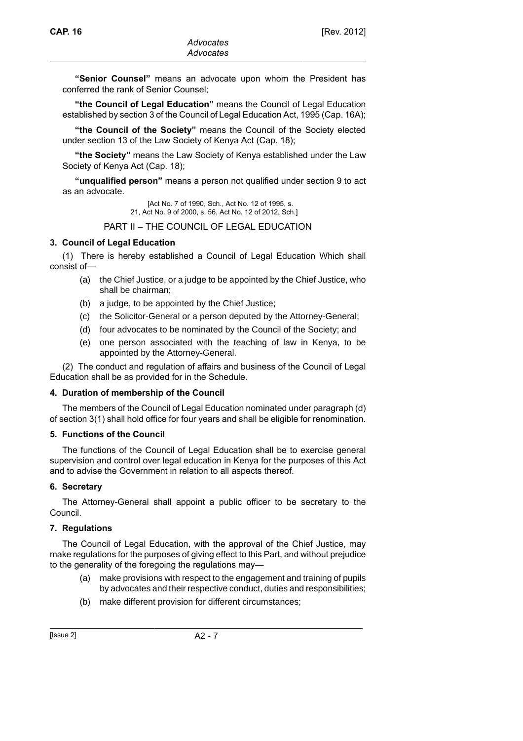**"Senior Counsel"** means an advocate upon whom the President has conferred the rank of Senior Counsel;

**"the Council of Legal Education"** means the Council of Legal Education established by section 3 of the Council of Legal Education Act, 1995 (Cap. 16A);

**"the Council of the Society"** means the Council of the Society elected under section 13 of the Law Society of Kenya Act (Cap. 18);

**"the Society"** means the Law Society of Kenya established under the Law Society of Kenya Act (Cap. 18);

**"unqualified person"** means a person not qualified under section 9 to act as an advocate.

> [Act No. 7 of 1990, Sch., Act No. 12 of 1995, s. 21, Act No. 9 of 2000, s. 56, Act No. 12 of 2012, Sch.]

PART II – THE COUNCIL OF LEGAL EDUCATION

#### **3. Council of Legal Education**

(1) There is hereby established a Council of Legal Education Which shall consist of—

- (a) the Chief Justice, or a judge to be appointed by the Chief Justice, who shall be chairman;
- (b) a judge, to be appointed by the Chief Justice;
- (c) the Solicitor-General or a person deputed by the Attorney-General;
- (d) four advocates to be nominated by the Council of the Society; and
- (e) one person associated with the teaching of law in Kenya, to be appointed by the Attorney-General.

(2) The conduct and regulation of affairs and business of the Council of Legal Education shall be as provided for in the Schedule.

#### **4. Duration of membership of the Council**

The members of the Council of Legal Education nominated under paragraph (d) of section 3(1) shall hold office for four years and shall be eligible for renomination.

#### **5. Functions of the Council**

The functions of the Council of Legal Education shall be to exercise general supervision and control over legal education in Kenya for the purposes of this Act and to advise the Government in relation to all aspects thereof.

#### **6. Secretary**

The Attorney-General shall appoint a public officer to be secretary to the Council.

#### **7. Regulations**

The Council of Legal Education, with the approval of the Chief Justice, may make regulations for the purposes of giving effect to this Part, and without prejudice to the generality of the foregoing the regulations may—

- (a) make provisions with respect to the engagement and training of pupils by advocates and their respective conduct, duties and responsibilities;
- (b) make different provision for different circumstances;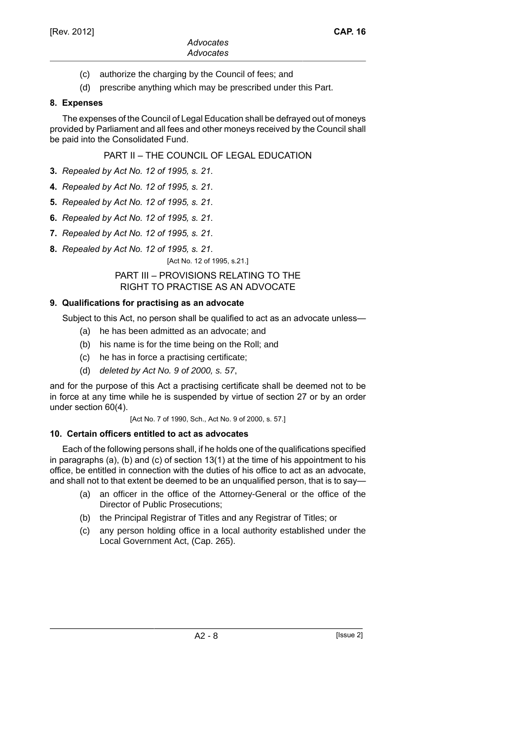- (c) authorize the charging by the Council of fees; and
- (d) prescribe anything which may be prescribed under this Part.

# **8. Expenses**

The expenses of the Council of Legal Education shall be defrayed out of moneys provided by Parliament and all fees and other moneys received by the Council shall be paid into the Consolidated Fund.

PART II – THE COUNCIL OF LEGAL EDUCATION

- **3.** *Repealed by Act No. 12 of 1995, s. 21*.
- **4.** *Repealed by Act No. 12 of 1995, s. 21*.
- **5.** *Repealed by Act No. 12 of 1995, s. 21*.
- **6.** *Repealed by Act No. 12 of 1995, s. 21*.
- **7.** *Repealed by Act No. 12 of 1995, s. 21*.
- **8.** *Repealed by Act No. 12 of 1995, s. 21*.

[Act No. 12 of 1995, s.21.]

#### PART III – PROVISIONS RELATING TO THE RIGHT TO PRACTISE AS AN ADVOCATE

# **9. Qualifications for practising as an advocate**

Subject to this Act, no person shall be qualified to act as an advocate unless—

- (a) he has been admitted as an advocate; and
- (b) his name is for the time being on the Roll; and
- (c) he has in force a practising certificate;
- (d) deleted by Act No. 9 of 2000, s. 57,

and for the purpose of this Act a practising certificate shall be deemed not to be in force at any time while he is suspended by virtue of section 27 or by an order under section 60(4).

[Act No. 7 of 1990, Sch., Act No. 9 of 2000, s. 57.]

# **10. Certain officers entitled to act as advocates**

Each of the following persons shall, if he holds one of the qualifications specified in paragraphs (a), (b) and (c) of section 13(1) at the time of his appointment to his office, be entitled in connection with the duties of his office to act as an advocate, and shall not to that extent be deemed to be an unqualified person, that is to say—

- (a) an officer in the office of the Attorney-General or the office of the Director of Public Prosecutions;
- (b) the Principal Registrar of Titles and any Registrar of Titles; or
- (c) any person holding office in a local authority established under the Local Government Act, (Cap. 265).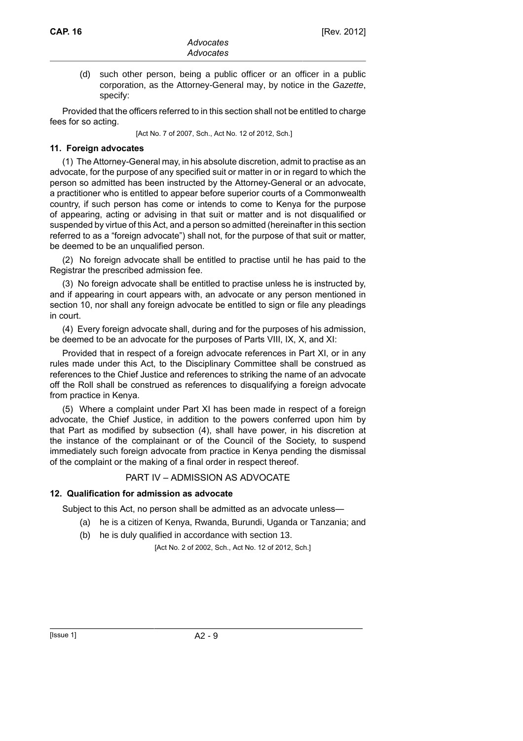(d) such other person, being a public officer or an officer in a public corporation, as the Attorney-General may, by notice in the Gazette, specify:

Provided that the officers referred to in this section shall not be entitled to charge fees for so acting.

[Act No. 7 of 2007, Sch., Act No. 12 of 2012, Sch.]

### **11. Foreign advocates**

(1) The Attorney-General may, in his absolute discretion, admit to practise as an advocate, for the purpose of any specified suit or matter in or in regard to which the person so admitted has been instructed by the Attorney-General or an advocate, a practitioner who is entitled to appear before superior courts of a Commonwealth country, if such person has come or intends to come to Kenya for the purpose of appearing, acting or advising in that suit or matter and is not disqualified or suspended by virtue of this Act, and a person so admitted (hereinafter in this section referred to as a "foreign advocate") shall not, for the purpose of that suit or matter, be deemed to be an unqualified person.

(2) No foreign advocate shall be entitled to practise until he has paid to the Registrar the prescribed admission fee.

(3) No foreign advocate shall be entitled to practise unless he is instructed by, and if appearing in court appears with, an advocate or any person mentioned in section 10, nor shall any foreign advocate be entitled to sign or file any pleadings in court.

(4) Every foreign advocate shall, during and for the purposes of his admission, be deemed to be an advocate for the purposes of Parts VIII, IX, X, and XI:

Provided that in respect of a foreign advocate references in Part XI, or in any rules made under this Act, to the Disciplinary Committee shall be construed as references to the Chief Justice and references to striking the name of an advocate off the Roll shall be construed as references to disqualifying a foreign advocate from practice in Kenya.

(5) Where a complaint under Part XI has been made in respect of a foreign advocate, the Chief Justice, in addition to the powers conferred upon him by that Part as modified by subsection (4), shall have power, in his discretion at the instance of the complainant or of the Council of the Society, to suspend immediately such foreign advocate from practice in Kenya pending the dismissal of the complaint or the making of a final order in respect thereof.

# PART IV – ADMISSION AS ADVOCATE

# **12. Qualification for admission as advocate**

Subject to this Act, no person shall be admitted as an advocate unless—

- (a) he is a citizen of Kenya, Rwanda, Burundi, Uganda or Tanzania; and
- (b) he is duly qualified in accordance with section 13.

[Act No. 2 of 2002, Sch., Act No. 12 of 2012, Sch.]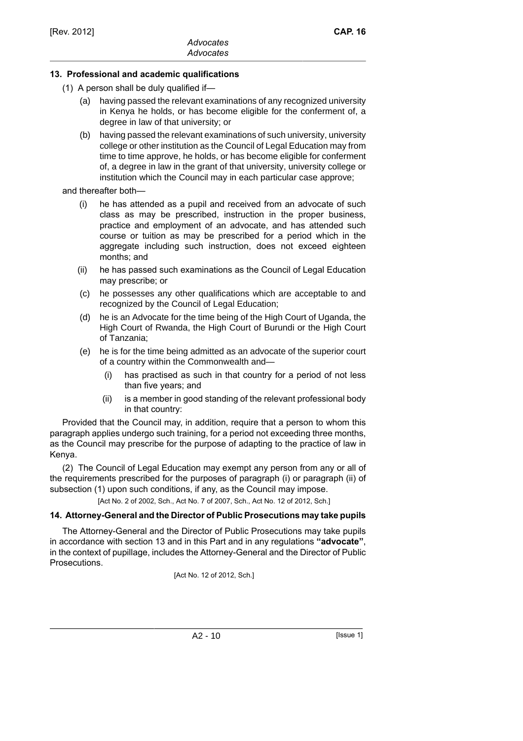# **13. Professional and academic qualifications**

- (1) A person shall be duly qualified if—
	- (a) having passed the relevant examinations of any recognized university in Kenya he holds, or has become eligible for the conferment of, a degree in law of that university; or
	- (b) having passed the relevant examinations of such university, university college or other institution as the Council of Legal Education may from time to time approve, he holds, or has become eligible for conferment of, a degree in law in the grant of that university, university college or institution which the Council may in each particular case approve;

and thereafter both—

- (i) he has attended as a pupil and received from an advocate of such class as may be prescribed, instruction in the proper business, practice and employment of an advocate, and has attended such course or tuition as may be prescribed for a period which in the aggregate including such instruction, does not exceed eighteen months; and
- (ii) he has passed such examinations as the Council of Legal Education may prescribe; or
- (c) he possesses any other qualifications which are acceptable to and recognized by the Council of Legal Education;
- (d) he is an Advocate for the time being of the High Court of Uganda, the High Court of Rwanda, the High Court of Burundi or the High Court of Tanzania;
- (e) he is for the time being admitted as an advocate of the superior court of a country within the Commonwealth and—
	- (i) has practised as such in that country for a period of not less than five years; and
	- (ii) is a member in good standing of the relevant professional body in that country:

Provided that the Council may, in addition, require that a person to whom this paragraph applies undergo such training, for a period not exceeding three months, as the Council may prescribe for the purpose of adapting to the practice of law in Kenya.

(2) The Council of Legal Education may exempt any person from any or all of the requirements prescribed for the purposes of paragraph (i) or paragraph (ii) of subsection (1) upon such conditions, if any, as the Council may impose.

[Act No. 2 of 2002, Sch., Act No. 7 of 2007, Sch., Act No. 12 of 2012, Sch.]

# **14. Attorney-General and the Director of Public Prosecutions may take pupils**

The Attorney-General and the Director of Public Prosecutions may take pupils in accordance with section 13 and in this Part and in any regulations **"advocate"**, in the context of pupillage, includes the Attorney-General and the Director of Public Prosecutions.

[Act No. 12 of 2012, Sch.]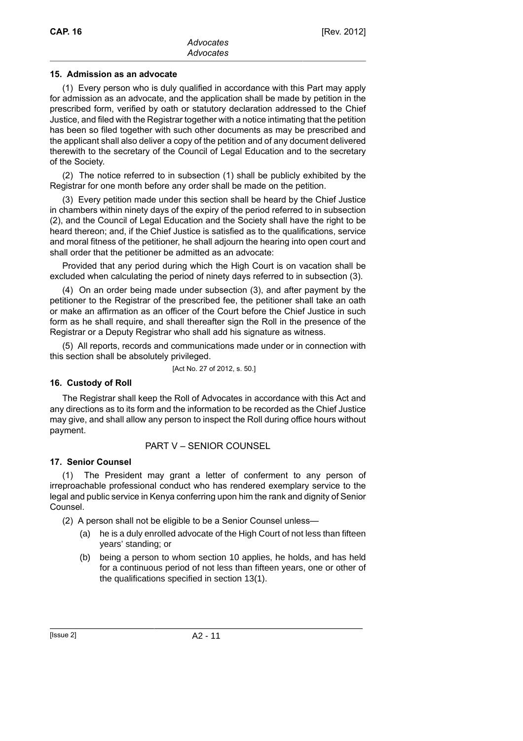# **15. Admission as an advocate**

(1) Every person who is duly qualified in accordance with this Part may apply for admission as an advocate, and the application shall be made by petition in the prescribed form, verified by oath or statutory declaration addressed to the Chief Justice, and filed with the Registrar together with a notice intimating that the petition has been so filed together with such other documents as may be prescribed and the applicant shall also deliver a copy of the petition and of any document delivered therewith to the secretary of the Council of Legal Education and to the secretary of the Society.

(2) The notice referred to in subsection (1) shall be publicly exhibited by the Registrar for one month before any order shall be made on the petition.

(3) Every petition made under this section shall be heard by the Chief Justice in chambers within ninety days of the expiry of the period referred to in subsection (2), and the Council of Legal Education and the Society shall have the right to be heard thereon; and, if the Chief Justice is satisfied as to the qualifications, service and moral fitness of the petitioner, he shall adjourn the hearing into open court and shall order that the petitioner be admitted as an advocate:

Provided that any period during which the High Court is on vacation shall be excluded when calculating the period of ninety days referred to in subsection (3).

(4) On an order being made under subsection (3), and after payment by the petitioner to the Registrar of the prescribed fee, the petitioner shall take an oath or make an affirmation as an officer of the Court before the Chief Justice in such form as he shall require, and shall thereafter sign the Roll in the presence of the Registrar or a Deputy Registrar who shall add his signature as witness.

(5) All reports, records and communications made under or in connection with this section shall be absolutely privileged.

[Act No. 27 of 2012, s. 50.]

# **16. Custody of Roll**

The Registrar shall keep the Roll of Advocates in accordance with this Act and any directions as to its form and the information to be recorded as the Chief Justice may give, and shall allow any person to inspect the Roll during office hours without payment.

# PART V – SENIOR COUNSEL

# **17. Senior Counsel**

(1) The President may grant a letter of conferment to any person of irreproachable professional conduct who has rendered exemplary service to the legal and public service in Kenya conferring upon him the rank and dignity of Senior Counsel.

(2) A person shall not be eligible to be a Senior Counsel unless—

- (a) he is a duly enrolled advocate of the High Court of not less than fifteen years' standing; or
- (b) being a person to whom section 10 applies, he holds, and has held for a continuous period of not less than fifteen years, one or other of the qualifications specified in section 13(1).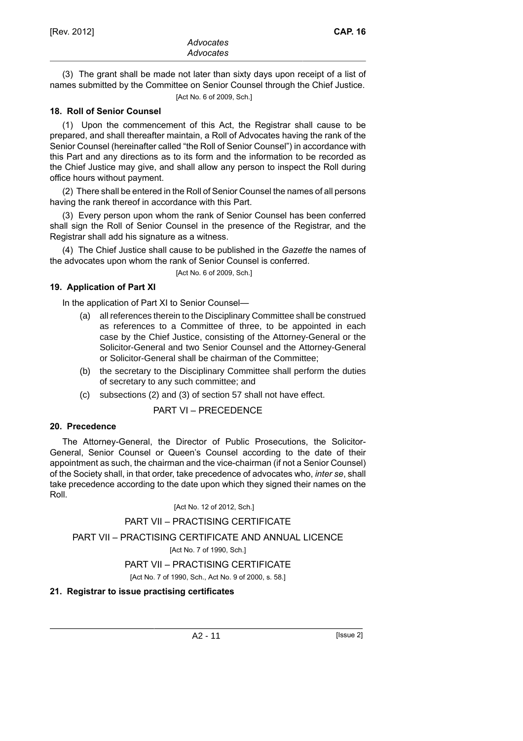(3) The grant shall be made not later than sixty days upon receipt of a list of names submitted by the Committee on Senior Counsel through the Chief Justice.

[Act No. 6 of 2009, Sch.]

### **18. Roll of Senior Counsel**

(1) Upon the commencement of this Act, the Registrar shall cause to be prepared, and shall thereafter maintain, a Roll of Advocates having the rank of the Senior Counsel (hereinafter called "the Roll of Senior Counsel") in accordance with this Part and any directions as to its form and the information to be recorded as the Chief Justice may give, and shall allow any person to inspect the Roll during office hours without payment.

(2) There shall be entered in the Roll of Senior Counsel the names of all persons having the rank thereof in accordance with this Part.

(3) Every person upon whom the rank of Senior Counsel has been conferred shall sign the Roll of Senior Counsel in the presence of the Registrar, and the Registrar shall add his signature as a witness.

(4) The Chief Justice shall cause to be published in the *Gazette* the names of the advocates upon whom the rank of Senior Counsel is conferred.

### **19. Application of Part XI**

In the application of Part XI to Senior Counsel—

- (a) all references therein to the Disciplinary Committee shall be construed as references to a Committee of three, to be appointed in each case by the Chief Justice, consisting of the Attorney-General or the Solicitor-General and two Senior Counsel and the Attorney-General or Solicitor-General shall be chairman of the Committee;
- (b) the secretary to the Disciplinary Committee shall perform the duties of secretary to any such committee; and
- (c) subsections (2) and (3) of section 57 shall not have effect.

PART VI – PRECEDENCE

#### **20. Precedence**

The Attorney-General, the Director of Public Prosecutions, the Solicitor-General, Senior Counsel or Queen's Counsel according to the date of their appointment as such, the chairman and the vice-chairman (if not a Senior Counsel) of the Society shall, in that order, take precedence of advocates who, *inter se*, shall take precedence according to the date upon which they signed their names on the Roll.

[Act No. 12 of 2012, Sch.]

#### PART VII – PRACTISING CERTIFICATE

PART VII – PRACTISING CERTIFICATE AND ANNUAL LICENCE

[Act No. 7 of 1990, Sch.]

# PART VII – PRACTISING CERTIFICATE

[Act No. 7 of 1990, Sch., Act No. 9 of 2000, s. 58.]

# **21. Registrar to issue practising certificates**

<sup>[</sup>Act No. 6 of 2009, Sch.]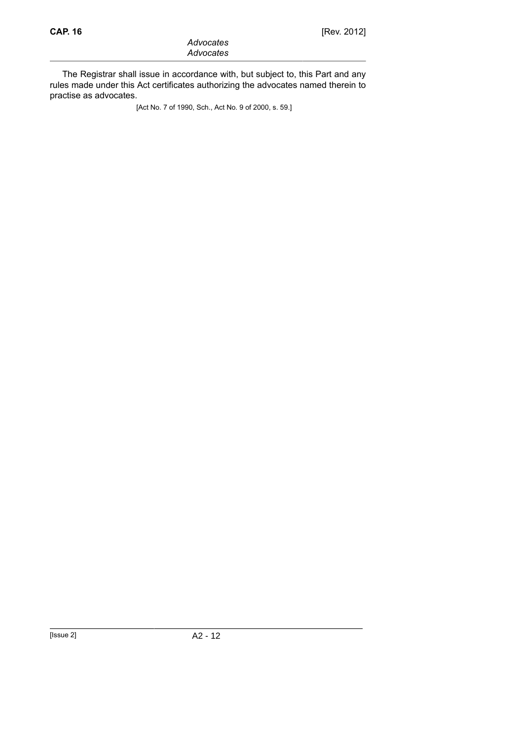The Registrar shall issue in accordance with, but subject to, this Part and any rules made under this Act certificates authorizing the advocates named therein to practise as advocates.

[Act No. 7 of 1990, Sch., Act No. 9 of 2000, s. 59.]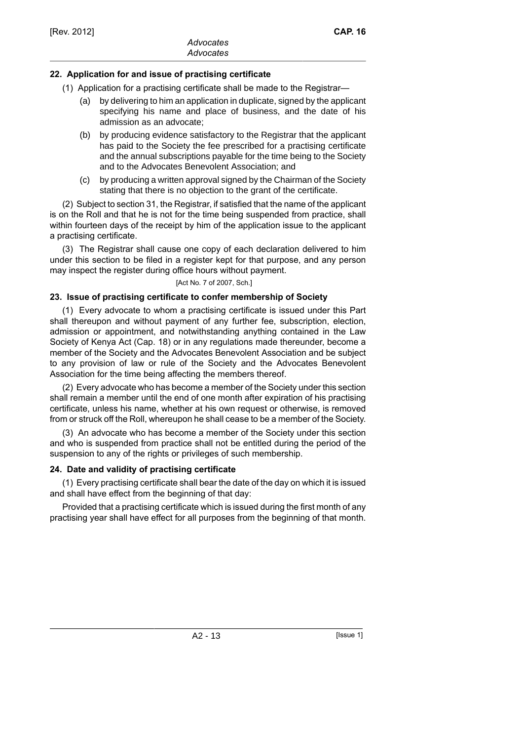# **22. Application for and issue of practising certificate**

- (1) Application for a practising certificate shall be made to the Registrar—
	- (a) by delivering to him an application in duplicate, signed by the applicant specifying his name and place of business, and the date of his admission as an advocate;
	- (b) by producing evidence satisfactory to the Registrar that the applicant has paid to the Society the fee prescribed for a practising certificate and the annual subscriptions payable for the time being to the Society and to the Advocates Benevolent Association; and
	- (c) by producing a written approval signed by the Chairman of the Society stating that there is no objection to the grant of the certificate.

(2) Subject to section 31, the Registrar, if satisfied that the name of the applicant is on the Roll and that he is not for the time being suspended from practice, shall within fourteen days of the receipt by him of the application issue to the applicant a practising certificate.

(3) The Registrar shall cause one copy of each declaration delivered to him under this section to be filed in a register kept for that purpose, and any person may inspect the register during office hours without payment.

#### [Act No. 7 of 2007, Sch.]

# **23. Issue of practising certificate to confer membership of Society**

(1) Every advocate to whom a practising certificate is issued under this Part shall thereupon and without payment of any further fee, subscription, election, admission or appointment, and notwithstanding anything contained in the Law Society of Kenya Act (Cap. 18) or in any regulations made thereunder, become a member of the Society and the Advocates Benevolent Association and be subject to any provision of law or rule of the Society and the Advocates Benevolent Association for the time being affecting the members thereof.

(2) Every advocate who has become a member of the Society under this section shall remain a member until the end of one month after expiration of his practising certificate, unless his name, whether at his own request or otherwise, is removed from or struck off the Roll, whereupon he shall cease to be a member of the Society.

(3) An advocate who has become a member of the Society under this section and who is suspended from practice shall not be entitled during the period of the suspension to any of the rights or privileges of such membership.

# **24. Date and validity of practising certificate**

(1) Every practising certificate shall bear the date of the day on which it is issued and shall have effect from the beginning of that day:

Provided that a practising certificate which is issued during the first month of any practising year shall have effect for all purposes from the beginning of that month.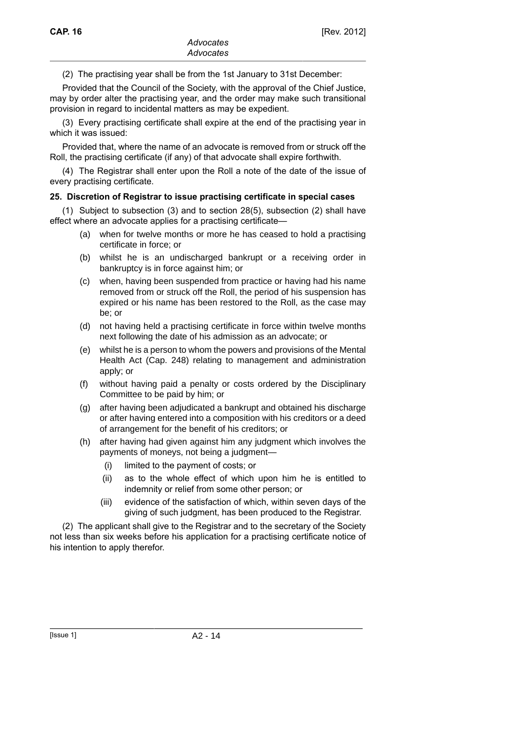(2) The practising year shall be from the 1st January to 31st December:

Provided that the Council of the Society, with the approval of the Chief Justice, may by order alter the practising year, and the order may make such transitional provision in regard to incidental matters as may be expedient.

(3) Every practising certificate shall expire at the end of the practising year in which it was issued:

Provided that, where the name of an advocate is removed from or struck off the Roll, the practising certificate (if any) of that advocate shall expire forthwith.

(4) The Registrar shall enter upon the Roll a note of the date of the issue of every practising certificate.

### **25. Discretion of Registrar to issue practising certificate in special cases**

(1) Subject to subsection (3) and to section 28(5), subsection (2) shall have effect where an advocate applies for a practising certificate—

- (a) when for twelve months or more he has ceased to hold a practising certificate in force; or
- (b) whilst he is an undischarged bankrupt or a receiving order in bankruptcy is in force against him; or
- (c) when, having been suspended from practice or having had his name removed from or struck off the Roll, the period of his suspension has expired or his name has been restored to the Roll, as the case may be; or
- (d) not having held a practising certificate in force within twelve months next following the date of his admission as an advocate; or
- (e) whilst he is a person to whom the powers and provisions of the Mental Health Act (Cap. 248) relating to management and administration apply; or
- (f) without having paid a penalty or costs ordered by the Disciplinary Committee to be paid by him; or
- (g) after having been adjudicated a bankrupt and obtained his discharge or after having entered into a composition with his creditors or a deed of arrangement for the benefit of his creditors; or
- (h) after having had given against him any judgment which involves the payments of moneys, not being a judgment—
	- (i) limited to the payment of costs; or
	- (ii) as to the whole effect of which upon him he is entitled to indemnity or relief from some other person; or
	- (iii) evidence of the satisfaction of which, within seven days of the giving of such judgment, has been produced to the Registrar.

(2) The applicant shall give to the Registrar and to the secretary of the Society not less than six weeks before his application for a practising certificate notice of his intention to apply therefor.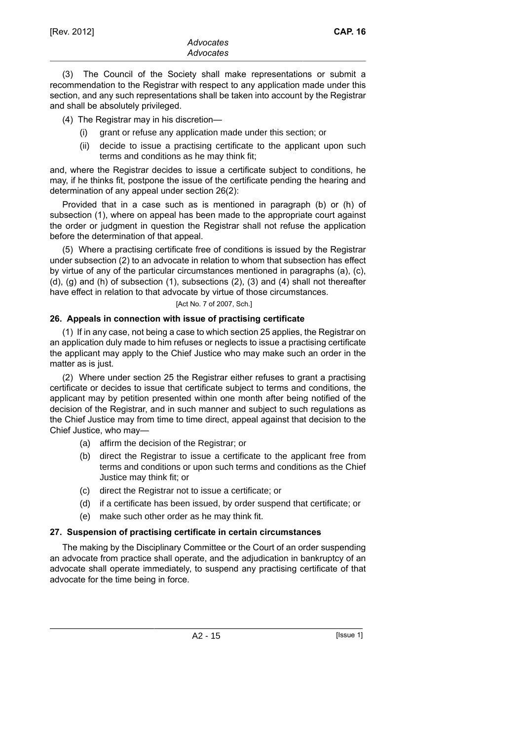(3) The Council of the Society shall make representations or submit a recommendation to the Registrar with respect to any application made under this section, and any such representations shall be taken into account by the Registrar and shall be absolutely privileged.

(4) The Registrar may in his discretion—

- (i) grant or refuse any application made under this section; or
- (ii) decide to issue a practising certificate to the applicant upon such terms and conditions as he may think fit;

and, where the Registrar decides to issue a certificate subject to conditions, he may, if he thinks fit, postpone the issue of the certificate pending the hearing and determination of any appeal under section 26(2):

Provided that in a case such as is mentioned in paragraph (b) or (h) of subsection (1), where on appeal has been made to the appropriate court against the order or judgment in question the Registrar shall not refuse the application before the determination of that appeal.

(5) Where a practising certificate free of conditions is issued by the Registrar under subsection (2) to an advocate in relation to whom that subsection has effect by virtue of any of the particular circumstances mentioned in paragraphs (a), (c), (d), (g) and (h) of subsection (1), subsections (2), (3) and (4) shall not thereafter have effect in relation to that advocate by virtue of those circumstances.

[Act No. 7 of 2007, Sch.]

### **26. Appeals in connection with issue of practising certificate**

(1) If in any case, not being a case to which section 25 applies, the Registrar on an application duly made to him refuses or neglects to issue a practising certificate the applicant may apply to the Chief Justice who may make such an order in the matter as is just.

(2) Where under section 25 the Registrar either refuses to grant a practising certificate or decides to issue that certificate subject to terms and conditions, the applicant may by petition presented within one month after being notified of the decision of the Registrar, and in such manner and subject to such regulations as the Chief Justice may from time to time direct, appeal against that decision to the Chief Justice, who may—

- (a) affirm the decision of the Registrar; or
- (b) direct the Registrar to issue a certificate to the applicant free from terms and conditions or upon such terms and conditions as the Chief Justice may think fit; or
- (c) direct the Registrar not to issue a certificate; or
- (d) if a certificate has been issued, by order suspend that certificate; or
- (e) make such other order as he may think fit.

# **27. Suspension of practising certificate in certain circumstances**

The making by the Disciplinary Committee or the Court of an order suspending an advocate from practice shall operate, and the adjudication in bankruptcy of an advocate shall operate immediately, to suspend any practising certificate of that advocate for the time being in force.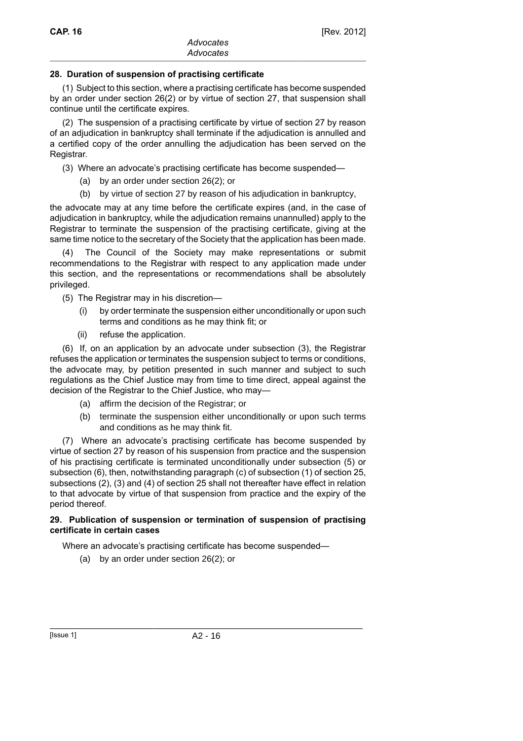### **28. Duration of suspension of practising certificate**

(1) Subject to this section, where a practising certificate has become suspended by an order under section 26(2) or by virtue of section 27, that suspension shall continue until the certificate expires.

(2) The suspension of a practising certificate by virtue of section 27 by reason of an adjudication in bankruptcy shall terminate if the adjudication is annulled and a certified copy of the order annulling the adjudication has been served on the Registrar.

(3) Where an advocate's practising certificate has become suspended—

- (a) by an order under section 26(2); or
- (b) by virtue of section 27 by reason of his adjudication in bankruptcy,

the advocate may at any time before the certificate expires (and, in the case of adjudication in bankruptcy, while the adjudication remains unannulled) apply to the Registrar to terminate the suspension of the practising certificate, giving at the same time notice to the secretary of the Society that the application has been made.

(4) The Council of the Society may make representations or submit recommendations to the Registrar with respect to any application made under this section, and the representations or recommendations shall be absolutely privileged.

- (5) The Registrar may in his discretion—
	- (i) by order terminate the suspension either unconditionally or upon such terms and conditions as he may think fit; or
	- (ii) refuse the application.

(6) If, on an application by an advocate under subsection (3), the Registrar refuses the application or terminates the suspension subject to terms or conditions, the advocate may, by petition presented in such manner and subject to such regulations as the Chief Justice may from time to time direct, appeal against the decision of the Registrar to the Chief Justice, who may—

- (a) affirm the decision of the Registrar; or
- (b) terminate the suspension either unconditionally or upon such terms and conditions as he may think fit.

(7) Where an advocate's practising certificate has become suspended by virtue of section 27 by reason of his suspension from practice and the suspension of his practising certificate is terminated unconditionally under subsection (5) or subsection (6), then, notwithstanding paragraph (c) of subsection (1) of section 25, subsections (2), (3) and (4) of section 25 shall not thereafter have effect in relation to that advocate by virtue of that suspension from practice and the expiry of the period thereof.

#### **29. Publication of suspension or termination of suspension of practising certificate in certain cases**

Where an advocate's practising certificate has become suspended—

(a) by an order under section 26(2); or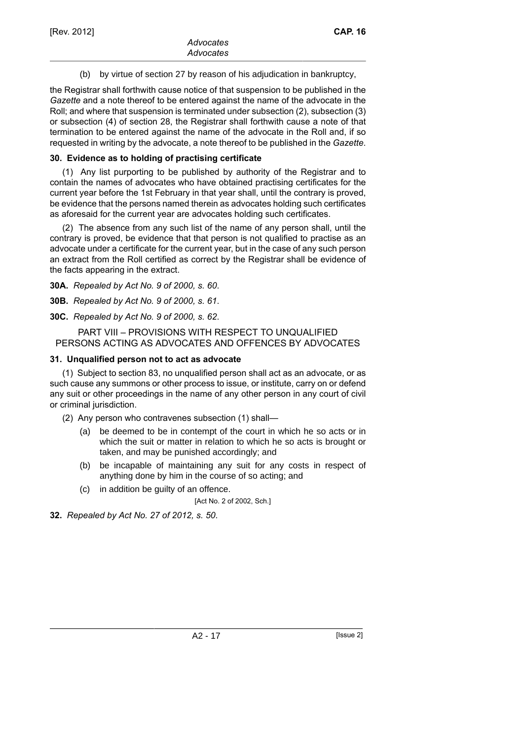(b) by virtue of section 27 by reason of his adjudication in bankruptcy,

the Registrar shall forthwith cause notice of that suspension to be published in the *Gazette* and a note thereof to be entered against the name of the advocate in the Roll; and where that suspension is terminated under subsection (2), subsection (3) or subsection (4) of section 28, the Registrar shall forthwith cause a note of that termination to be entered against the name of the advocate in the Roll and, if so requested in writing by the advocate, a note thereof to be published in the *Gazette*.

### **30. Evidence as to holding of practising certificate**

(1) Any list purporting to be published by authority of the Registrar and to contain the names of advocates who have obtained practising certificates for the current year before the 1st February in that year shall, until the contrary is proved, be evidence that the persons named therein as advocates holding such certificates as aforesaid for the current year are advocates holding such certificates.

(2) The absence from any such list of the name of any person shall, until the contrary is proved, be evidence that that person is not qualified to practise as an advocate under a certificate for the current year, but in the case of any such person an extract from the Roll certified as correct by the Registrar shall be evidence of the facts appearing in the extract.

**30A.** *Repealed by Act No. 9 of 2000, s. 60*.

**30B.** *Repealed by Act No. 9 of 2000, s. 61*.

**30C.** *Repealed by Act No. 9 of 2000, s. 62*.

### PART VIII – PROVISIONS WITH RESPECT TO UNQUALIFIED PERSONS ACTING AS ADVOCATES AND OFFENCES BY ADVOCATES

### **31. Unqualified person not to act as advocate**

(1) Subject to section 83, no unqualified person shall act as an advocate, or as such cause any summons or other process to issue, or institute, carry on or defend any suit or other proceedings in the name of any other person in any court of civil or criminal jurisdiction.

(2) Any person who contravenes subsection (1) shall—

- (a) be deemed to be in contempt of the court in which he so acts or in which the suit or matter in relation to which he so acts is brought or taken, and may be punished accordingly; and
- (b) be incapable of maintaining any suit for any costs in respect of anything done by him in the course of so acting; and
- (c) in addition be guilty of an offence.

[Act No. 2 of 2002, Sch.]

**32.** *Repealed by Act No. 27 of 2012, s. 50*.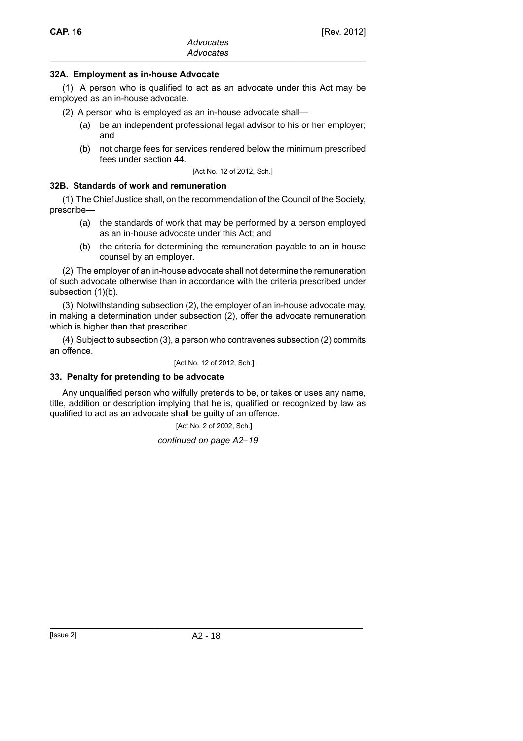### **32A. Employment as in-house Advocate**

(1) A person who is qualified to act as an advocate under this Act may be employed as an in-house advocate.

- (2) A person who is employed as an in-house advocate shall—
	- (a) be an independent professional legal advisor to his or her employer; and
	- (b) not charge fees for services rendered below the minimum prescribed fees under section 44.

[Act No. 12 of 2012, Sch.]

### **32B. Standards of work and remuneration**

(1) The Chief Justice shall, on the recommendation of the Council of the Society, prescribe—

- (a) the standards of work that may be performed by a person employed as an in-house advocate under this Act; and
- (b) the criteria for determining the remuneration payable to an in-house counsel by an employer.

(2) The employer of an in-house advocate shall not determine the remuneration of such advocate otherwise than in accordance with the criteria prescribed under subsection (1)(b).

(3) Notwithstanding subsection (2), the employer of an in-house advocate may, in making a determination under subsection (2), offer the advocate remuneration which is higher than that prescribed.

(4) Subject to subsection (3), a person who contravenes subsection (2) commits an offence.

[Act No. 12 of 2012, Sch.]

# **33. Penalty for pretending to be advocate**

Any unqualified person who wilfully pretends to be, or takes or uses any name, title, addition or description implying that he is, qualified or recognized by law as qualified to act as an advocate shall be guilty of an offence.

[Act No. 2 of 2002, Sch.]

*continued on page A2–19*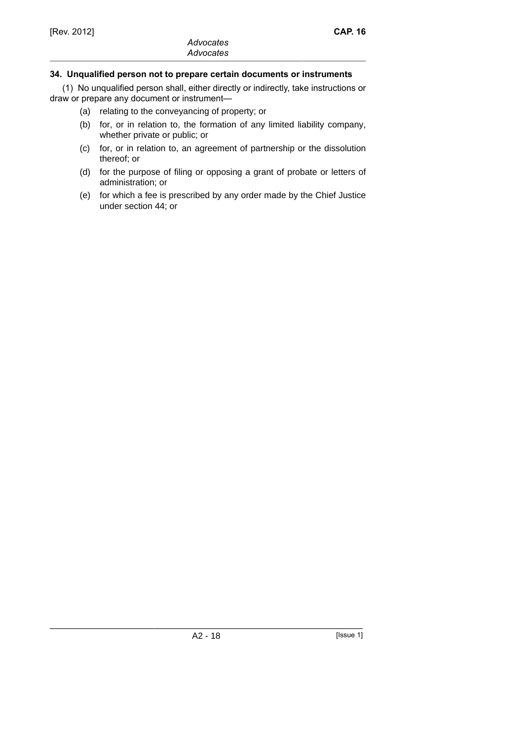# **34. Unqualified person not to prepare certain documents or instruments**

(1) No unqualified person shall, either directly or indirectly, take instructions or draw or prepare any document or instrument—

- (a) relating to the conveyancing of property; or
- (b) for, or in relation to, the formation of any limited liability company, whether private or public; or
- (c) for, or in relation to, an agreement of partnership or the dissolution thereof; or
- (d) for the purpose of filing or opposing a grant of probate or letters of administration; or
- (e) for which a fee is prescribed by any order made by the Chief Justice under section 44; or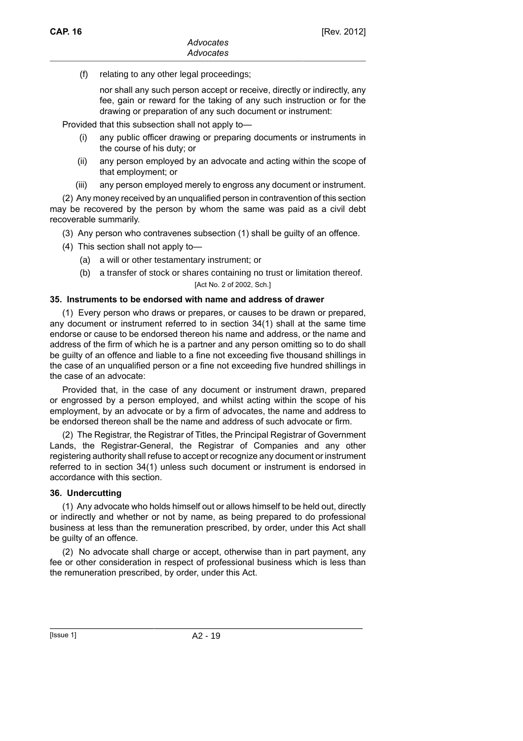(f) relating to any other legal proceedings;

nor shall any such person accept or receive, directly or indirectly, any fee, gain or reward for the taking of any such instruction or for the drawing or preparation of any such document or instrument:

Provided that this subsection shall not apply to—

- (i) any public officer drawing or preparing documents or instruments in the course of his duty; or
- (ii) any person employed by an advocate and acting within the scope of that employment; or
- (iii) any person employed merely to engross any document or instrument.

(2) Any money received by an unqualified person in contravention of this section may be recovered by the person by whom the same was paid as a civil debt recoverable summarily.

(3) Any person who contravenes subsection (1) shall be guilty of an offence.

- (4) This section shall not apply to—
	- (a) a will or other testamentary instrument; or
	- (b) a transfer of stock or shares containing no trust or limitation thereof. [Act No. 2 of 2002, Sch.]

#### **35. Instruments to be endorsed with name and address of drawer**

(1) Every person who draws or prepares, or causes to be drawn or prepared, any document or instrument referred to in section 34(1) shall at the same time endorse or cause to be endorsed thereon his name and address, or the name and address of the firm of which he is a partner and any person omitting so to do shall be guilty of an offence and liable to a fine not exceeding five thousand shillings in the case of an unqualified person or a fine not exceeding five hundred shillings in the case of an advocate:

Provided that, in the case of any document or instrument drawn, prepared or engrossed by a person employed, and whilst acting within the scope of his employment, by an advocate or by a firm of advocates, the name and address to be endorsed thereon shall be the name and address of such advocate or firm.

(2) The Registrar, the Registrar of Titles, the Principal Registrar of Government Lands, the Registrar-General, the Registrar of Companies and any other registering authority shall refuse to accept or recognize any document or instrument referred to in section 34(1) unless such document or instrument is endorsed in accordance with this section.

#### **36. Undercutting**

(1) Any advocate who holds himself out or allows himself to be held out, directly or indirectly and whether or not by name, as being prepared to do professional business at less than the remuneration prescribed, by order, under this Act shall be guilty of an offence.

(2) No advocate shall charge or accept, otherwise than in part payment, any fee or other consideration in respect of professional business which is less than the remuneration prescribed, by order, under this Act.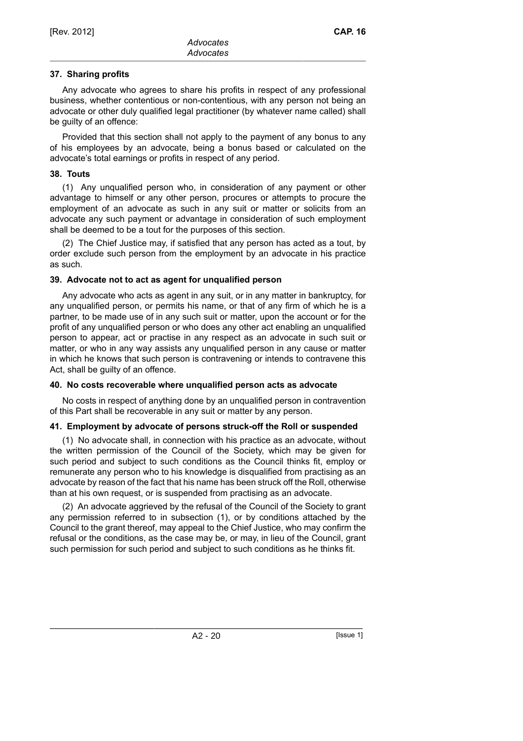# **37. Sharing profits**

Any advocate who agrees to share his profits in respect of any professional business, whether contentious or non-contentious, with any person not being an advocate or other duly qualified legal practitioner (by whatever name called) shall be guilty of an offence:

Provided that this section shall not apply to the payment of any bonus to any of his employees by an advocate, being a bonus based or calculated on the advocate's total earnings or profits in respect of any period.

### **38. Touts**

(1) Any unqualified person who, in consideration of any payment or other advantage to himself or any other person, procures or attempts to procure the employment of an advocate as such in any suit or matter or solicits from an advocate any such payment or advantage in consideration of such employment shall be deemed to be a tout for the purposes of this section.

(2) The Chief Justice may, if satisfied that any person has acted as a tout, by order exclude such person from the employment by an advocate in his practice as such.

### **39. Advocate not to act as agent for unqualified person**

Any advocate who acts as agent in any suit, or in any matter in bankruptcy, for any unqualified person, or permits his name, or that of any firm of which he is a partner, to be made use of in any such suit or matter, upon the account or for the profit of any unqualified person or who does any other act enabling an unqualified person to appear, act or practise in any respect as an advocate in such suit or matter, or who in any way assists any unqualified person in any cause or matter in which he knows that such person is contravening or intends to contravene this Act, shall be guilty of an offence.

# **40. No costs recoverable where unqualified person acts as advocate**

No costs in respect of anything done by an unqualified person in contravention of this Part shall be recoverable in any suit or matter by any person.

# **41. Employment by advocate of persons struck-off the Roll or suspended**

(1) No advocate shall, in connection with his practice as an advocate, without the written permission of the Council of the Society, which may be given for such period and subject to such conditions as the Council thinks fit, employ or remunerate any person who to his knowledge is disqualified from practising as an advocate by reason of the fact that his name has been struck off the Roll, otherwise than at his own request, or is suspended from practising as an advocate.

(2) An advocate aggrieved by the refusal of the Council of the Society to grant any permission referred to in subsection (1), or by conditions attached by the Council to the grant thereof, may appeal to the Chief Justice, who may confirm the refusal or the conditions, as the case may be, or may, in lieu of the Council, grant such permission for such period and subject to such conditions as he thinks fit.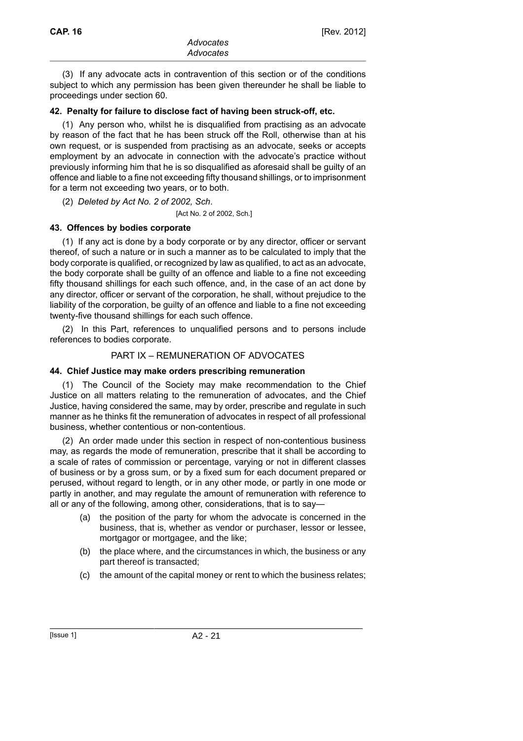(3) If any advocate acts in contravention of this section or of the conditions subject to which any permission has been given thereunder he shall be liable to proceedings under section 60.

### **42. Penalty for failure to disclose fact of having been struck-off, etc.**

(1) Any person who, whilst he is disqualified from practising as an advocate by reason of the fact that he has been struck off the Roll, otherwise than at his own request, or is suspended from practising as an advocate, seeks or accepts employment by an advocate in connection with the advocate's practice without previously informing him that he is so disqualified as aforesaid shall be guilty of an offence and liable to a fine not exceeding fifty thousand shillings, or to imprisonment for a term not exceeding two years, or to both.

(2) *Deleted by Act No. 2 of 2002, Sch*.

[Act No. 2 of 2002, Sch.]

# **43. Offences by bodies corporate**

(1) If any act is done by a body corporate or by any director, officer or servant thereof, of such a nature or in such a manner as to be calculated to imply that the body corporate is qualified, or recognized by law as qualified, to act as an advocate, the body corporate shall be guilty of an offence and liable to a fine not exceeding fifty thousand shillings for each such offence, and, in the case of an act done by any director, officer or servant of the corporation, he shall, without prejudice to the liability of the corporation, be guilty of an offence and liable to a fine not exceeding twenty-five thousand shillings for each such offence.

(2) In this Part, references to unqualified persons and to persons include references to bodies corporate.

# PART IX – REMUNERATION OF ADVOCATES

#### **44. Chief Justice may make orders prescribing remuneration**

(1) The Council of the Society may make recommendation to the Chief Justice on all matters relating to the remuneration of advocates, and the Chief Justice, having considered the same, may by order, prescribe and regulate in such manner as he thinks fit the remuneration of advocates in respect of all professional business, whether contentious or non-contentious.

(2) An order made under this section in respect of non-contentious business may, as regards the mode of remuneration, prescribe that it shall be according to a scale of rates of commission or percentage, varying or not in different classes of business or by a gross sum, or by a fixed sum for each document prepared or perused, without regard to length, or in any other mode, or partly in one mode or partly in another, and may regulate the amount of remuneration with reference to all or any of the following, among other, considerations, that is to say—

- (a) the position of the party for whom the advocate is concerned in the business, that is, whether as vendor or purchaser, lessor or lessee, mortgagor or mortgagee, and the like;
- (b) the place where, and the circumstances in which, the business or any part thereof is transacted;
- (c) the amount of the capital money or rent to which the business relates;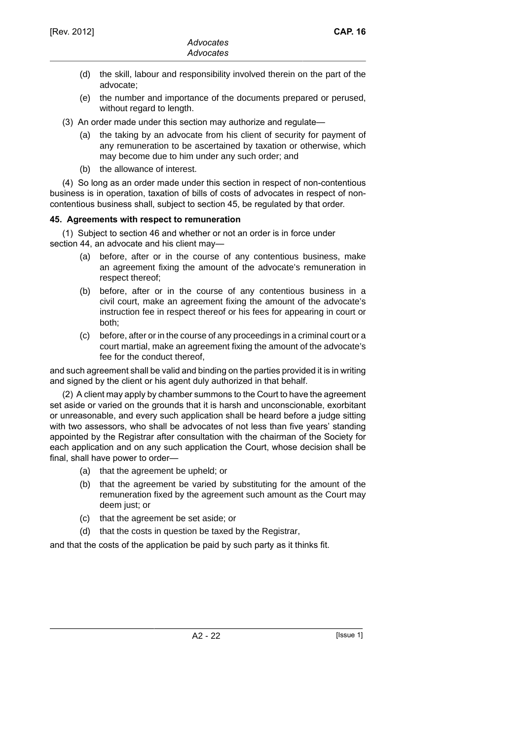- (d) the skill, labour and responsibility involved therein on the part of the advocate;
- (e) the number and importance of the documents prepared or perused, without regard to length.
- (3) An order made under this section may authorize and regulate—
	- (a) the taking by an advocate from his client of security for payment of any remuneration to be ascertained by taxation or otherwise, which may become due to him under any such order; and
	- (b) the allowance of interest.

(4) So long as an order made under this section in respect of non-contentious business is in operation, taxation of bills of costs of advocates in respect of noncontentious business shall, subject to section 45, be regulated by that order.

### **45. Agreements with respect to remuneration**

(1) Subject to section 46 and whether or not an order is in force under section 44, an advocate and his client may-

- (a) before, after or in the course of any contentious business, make an agreement fixing the amount of the advocate's remuneration in respect thereof;
- (b) before, after or in the course of any contentious business in a civil court, make an agreement fixing the amount of the advocate's instruction fee in respect thereof or his fees for appearing in court or both;
- (c) before, after or in the course of any proceedings in a criminal court or a court martial, make an agreement fixing the amount of the advocate's fee for the conduct thereof,

and such agreement shall be valid and binding on the parties provided it is in writing and signed by the client or his agent duly authorized in that behalf.

(2) A client may apply by chamber summons to the Court to have the agreement set aside or varied on the grounds that it is harsh and unconscionable, exorbitant or unreasonable, and every such application shall be heard before a judge sitting with two assessors, who shall be advocates of not less than five years' standing appointed by the Registrar after consultation with the chairman of the Society for each application and on any such application the Court, whose decision shall be final, shall have power to order—

- (a) that the agreement be upheld; or
- (b) that the agreement be varied by substituting for the amount of the remuneration fixed by the agreement such amount as the Court may deem just; or
- (c) that the agreement be set aside; or
- (d) that the costs in question be taxed by the Registrar,

and that the costs of the application be paid by such party as it thinks fit.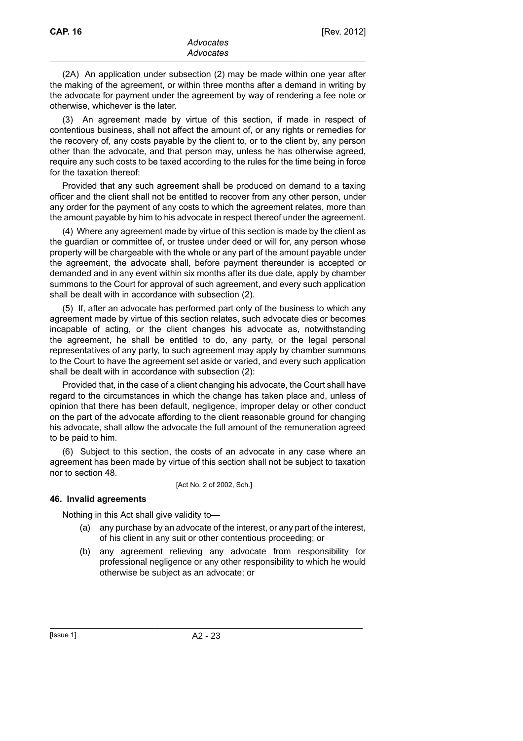(2A) An application under subsection (2) may be made within one year after the making of the agreement, or within three months after a demand in writing by the advocate for payment under the agreement by way of rendering a fee note or otherwise, whichever is the later.

(3) An agreement made by virtue of this section, if made in respect of contentious business, shall not affect the amount of, or any rights or remedies for the recovery of, any costs payable by the client to, or to the client by, any person other than the advocate, and that person may, unless he has otherwise agreed, require any such costs to be taxed according to the rules for the time being in force for the taxation thereof:

Provided that any such agreement shall be produced on demand to a taxing officer and the client shall not be entitled to recover from any other person, under any order for the payment of any costs to which the agreement relates, more than the amount payable by him to his advocate in respect thereof under the agreement.

(4) Where any agreement made by virtue of this section is made by the client as the guardian or committee of, or trustee under deed or will for, any person whose property will be chargeable with the whole or any part of the amount payable under the agreement, the advocate shall, before payment thereunder is accepted or demanded and in any event within six months after its due date, apply by chamber summons to the Court for approval of such agreement, and every such application shall be dealt with in accordance with subsection (2).

(5) If, after an advocate has performed part only of the business to which any agreement made by virtue of this section relates, such advocate dies or becomes incapable of acting, or the client changes his advocate as, notwithstanding the agreement, he shall be entitled to do, any party, or the legal personal representatives of any party, to such agreement may apply by chamber summons to the Court to have the agreement set aside or varied, and every such application shall be dealt with in accordance with subsection (2):

Provided that, in the case of a client changing his advocate, the Court shall have regard to the circumstances in which the change has taken place and, unless of opinion that there has been default, negligence, improper delay or other conduct on the part of the advocate affording to the client reasonable ground for changing his advocate, shall allow the advocate the full amount of the remuneration agreed to be paid to him.

(6) Subject to this section, the costs of an advocate in any case where an agreement has been made by virtue of this section shall not be subject to taxation nor to section 48.

[Act No. 2 of 2002, Sch.]

#### **46. Invalid agreements**

Nothing in this Act shall give validity to—

- (a) any purchase by an advocate of the interest, or any part of the interest, of his client in any suit or other contentious proceeding; or
- (b) any agreement relieving any advocate from responsibility for professional negligence or any other responsibility to which he would otherwise be subject as an advocate; or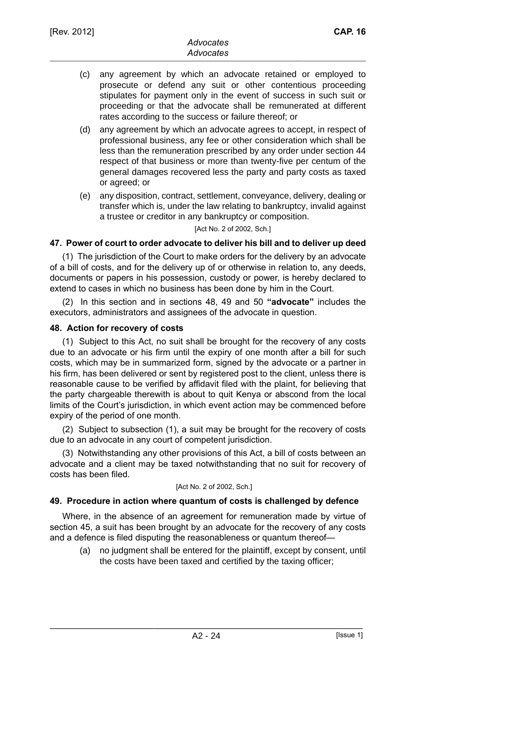- (c) any agreement by which an advocate retained or employed to prosecute or defend any suit or other contentious proceeding stipulates for payment only in the event of success in such suit or proceeding or that the advocate shall be remunerated at different rates according to the success or failure thereof; or
- (d) any agreement by which an advocate agrees to accept, in respect of professional business, any fee or other consideration which shall be less than the remuneration prescribed by any order under section 44 respect of that business or more than twenty-five per centum of the general damages recovered less the party and party costs as taxed or agreed; or
- (e) any disposition, contract, settlement, conveyance, delivery, dealing or transfer which is, under the law relating to bankruptcy, invalid against a trustee or creditor in any bankruptcy or composition.

#### [Act No. 2 of 2002, Sch.]

### **47. Power of court to order advocate to deliver his bill and to deliver up deed**

(1) The jurisdiction of the Court to make orders for the delivery by an advocate of a bill of costs, and for the delivery up of or otherwise in relation to, any deeds, documents or papers in his possession, custody or power, is hereby declared to extend to cases in which no business has been done by him in the Court.

(2) In this section and in sections 48, 49 and 50 **"advocate"** includes the executors, administrators and assignees of the advocate in question.

#### **48. Action for recovery of costs**

(1) Subject to this Act, no suit shall be brought for the recovery of any costs due to an advocate or his firm until the expiry of one month after a bill for such costs, which may be in summarized form, signed by the advocate or a partner in his firm, has been delivered or sent by registered post to the client, unless there is reasonable cause to be verified by affidavit filed with the plaint, for believing that the party chargeable therewith is about to quit Kenya or abscond from the local limits of the Court's jurisdiction, in which event action may be commenced before expiry of the period of one month.

(2) Subject to subsection (1), a suit may be brought for the recovery of costs due to an advocate in any court of competent jurisdiction.

(3) Notwithstanding any other provisions of this Act, a bill of costs between an advocate and a client may be taxed notwithstanding that no suit for recovery of costs has been filed.

#### [Act No. 2 of 2002, Sch.]

# **49. Procedure in action where quantum of costs is challenged by defence**

Where, in the absence of an agreement for remuneration made by virtue of section 45, a suit has been brought by an advocate for the recovery of any costs and a defence is filed disputing the reasonableness or quantum thereof—

(a) no judgment shall be entered for the plaintiff, except by consent, until the costs have been taxed and certified by the taxing officer;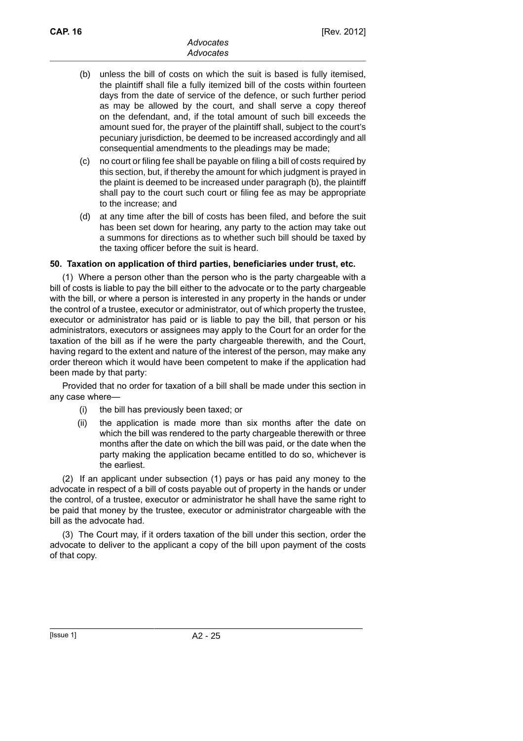- (b) unless the bill of costs on which the suit is based is fully itemised, the plaintiff shall file a fully itemized bill of the costs within fourteen days from the date of service of the defence, or such further period as may be allowed by the court, and shall serve a copy thereof on the defendant, and, if the total amount of such bill exceeds the amount sued for, the prayer of the plaintiff shall, subject to the court's pecuniary jurisdiction, be deemed to be increased accordingly and all consequential amendments to the pleadings may be made;
- (c) no court or filing fee shall be payable on filing a bill of costs required by this section, but, if thereby the amount for which judgment is prayed in the plaint is deemed to be increased under paragraph (b), the plaintiff shall pay to the court such court or filing fee as may be appropriate to the increase; and
- (d) at any time after the bill of costs has been filed, and before the suit has been set down for hearing, any party to the action may take out a summons for directions as to whether such bill should be taxed by the taxing officer before the suit is heard.

# **50. Taxation on application of third parties, beneficiaries under trust, etc.**

(1) Where a person other than the person who is the party chargeable with a bill of costs is liable to pay the bill either to the advocate or to the party chargeable with the bill, or where a person is interested in any property in the hands or under the control of a trustee, executor or administrator, out of which property the trustee, executor or administrator has paid or is liable to pay the bill, that person or his administrators, executors or assignees may apply to the Court for an order for the taxation of the bill as if he were the party chargeable therewith, and the Court, having regard to the extent and nature of the interest of the person, may make any order thereon which it would have been competent to make if the application had been made by that party:

Provided that no order for taxation of a bill shall be made under this section in any case where—

- (i) the bill has previously been taxed; or
- (ii) the application is made more than six months after the date on which the bill was rendered to the party chargeable therewith or three months after the date on which the bill was paid, or the date when the party making the application became entitled to do so, whichever is the earliest.

(2) If an applicant under subsection (1) pays or has paid any money to the advocate in respect of a bill of costs payable out of property in the hands or under the control, of a trustee, executor or administrator he shall have the same right to be paid that money by the trustee, executor or administrator chargeable with the bill as the advocate had.

(3) The Court may, if it orders taxation of the bill under this section, order the advocate to deliver to the applicant a copy of the bill upon payment of the costs of that copy.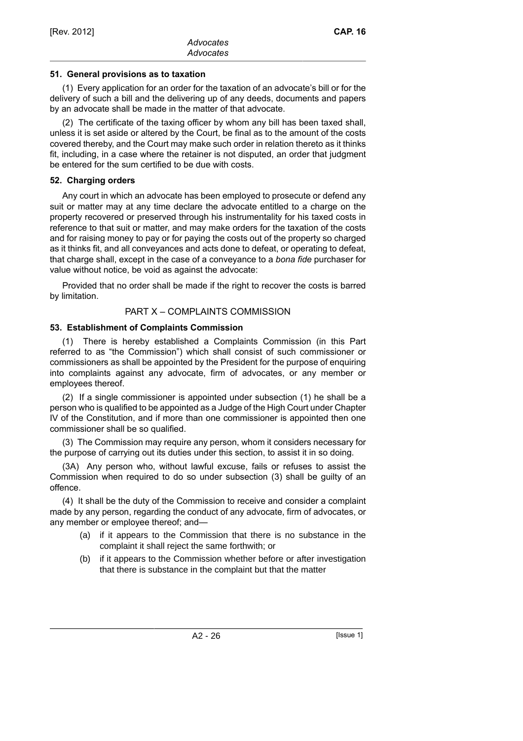### **51. General provisions as to taxation**

(1) Every application for an order for the taxation of an advocate's bill or for the delivery of such a bill and the delivering up of any deeds, documents and papers by an advocate shall be made in the matter of that advocate.

(2) The certificate of the taxing officer by whom any bill has been taxed shall, unless it is set aside or altered by the Court, be final as to the amount of the costs covered thereby, and the Court may make such order in relation thereto as it thinks fit, including, in a case where the retainer is not disputed, an order that judgment be entered for the sum certified to be due with costs.

### **52. Charging orders**

Any court in which an advocate has been employed to prosecute or defend any suit or matter may at any time declare the advocate entitled to a charge on the property recovered or preserved through his instrumentality for his taxed costs in reference to that suit or matter, and may make orders for the taxation of the costs and for raising money to pay or for paying the costs out of the property so charged as it thinks fit, and all conveyances and acts done to defeat, or operating to defeat, that charge shall, except in the case of a conveyance to a *bona fide* purchaser for value without notice, be void as against the advocate:

Provided that no order shall be made if the right to recover the costs is barred by limitation.

### PART X – COMPLAINTS COMMISSION

# **53. Establishment of Complaints Commission**

(1) There is hereby established a Complaints Commission (in this Part referred to as "the Commission") which shall consist of such commissioner or commissioners as shall be appointed by the President for the purpose of enquiring into complaints against any advocate, firm of advocates, or any member or employees thereof.

(2) If a single commissioner is appointed under subsection (1) he shall be a person who is qualified to be appointed as a Judge of the High Court under Chapter IV of the Constitution, and if more than one commissioner is appointed then one commissioner shall be so qualified.

(3) The Commission may require any person, whom it considers necessary for the purpose of carrying out its duties under this section, to assist it in so doing.

(3A) Any person who, without lawful excuse, fails or refuses to assist the Commission when required to do so under subsection (3) shall be guilty of an offence.

(4) It shall be the duty of the Commission to receive and consider a complaint made by any person, regarding the conduct of any advocate, firm of advocates, or any member or employee thereof; and—

- (a) if it appears to the Commission that there is no substance in the complaint it shall reject the same forthwith; or
- (b) if it appears to the Commission whether before or after investigation that there is substance in the complaint but that the matter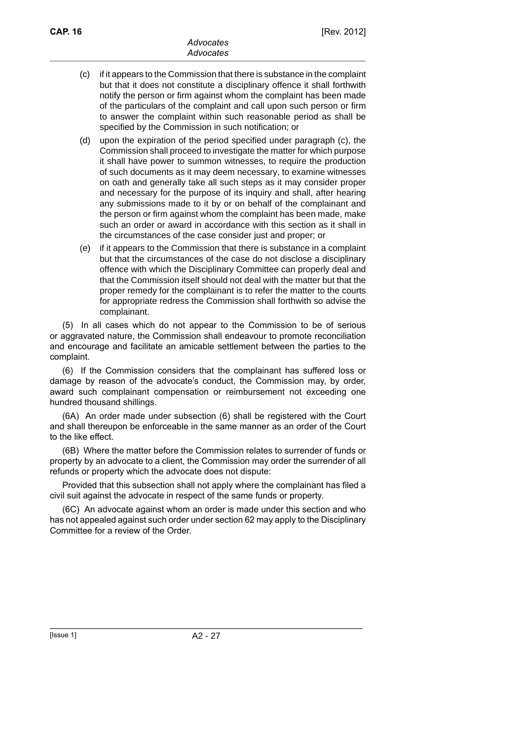- (c) if it appears to the Commission that there is substance in the complaint but that it does not constitute a disciplinary offence it shall forthwith notify the person or firm against whom the complaint has been made of the particulars of the complaint and call upon such person or firm to answer the complaint within such reasonable period as shall be specified by the Commission in such notification; or
- (d) upon the expiration of the period specified under paragraph (c), the Commission shall proceed to investigate the matter for which purpose it shall have power to summon witnesses, to require the production of such documents as it may deem necessary, to examine witnesses on oath and generally take all such steps as it may consider proper and necessary for the purpose of its inquiry and shall, after hearing any submissions made to it by or on behalf of the complainant and the person or firm against whom the complaint has been made, make such an order or award in accordance with this section as it shall in the circumstances of the case consider just and proper; or
- (e) if it appears to the Commission that there is substance in a complaint but that the circumstances of the case do not disclose a disciplinary offence with which the Disciplinary Committee can properly deal and that the Commission itself should not deal with the matter but that the proper remedy for the complainant is to refer the matter to the courts for appropriate redress the Commission shall forthwith so advise the complainant.

(5) In all cases which do not appear to the Commission to be of serious or aggravated nature, the Commission shall endeavour to promote reconciliation and encourage and facilitate an amicable settlement between the parties to the complaint.

(6) If the Commission considers that the complainant has suffered loss or damage by reason of the advocate's conduct, the Commission may, by order, award such complainant compensation or reimbursement not exceeding one hundred thousand shillings.

(6A) An order made under subsection (6) shall be registered with the Court and shall thereupon be enforceable in the same manner as an order of the Court to the like effect.

(6B) Where the matter before the Commission relates to surrender of funds or property by an advocate to a client, the Commission may order the surrender of all refunds or property which the advocate does not dispute:

Provided that this subsection shall not apply where the complainant has filed a civil suit against the advocate in respect of the same funds or property.

(6C) An advocate against whom an order is made under this section and who has not appealed against such order under section 62 may apply to the Disciplinary Committee for a review of the Order.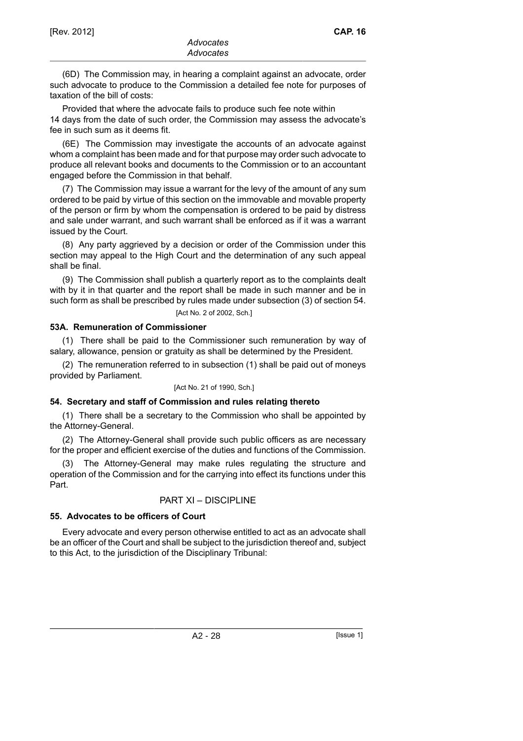(6D) The Commission may, in hearing a complaint against an advocate, order such advocate to produce to the Commission a detailed fee note for purposes of taxation of the bill of costs:

Provided that where the advocate fails to produce such fee note within 14 days from the date of such order, the Commission may assess the advocate's fee in such sum as it deems fit.

(6E) The Commission may investigate the accounts of an advocate against whom a complaint has been made and for that purpose may order such advocate to produce all relevant books and documents to the Commission or to an accountant engaged before the Commission in that behalf.

(7) The Commission may issue a warrant for the levy of the amount of any sum ordered to be paid by virtue of this section on the immovable and movable property of the person or firm by whom the compensation is ordered to be paid by distress and sale under warrant, and such warrant shall be enforced as if it was a warrant issued by the Court.

(8) Any party aggrieved by a decision or order of the Commission under this section may appeal to the High Court and the determination of any such appeal shall be final.

(9) The Commission shall publish a quarterly report as to the complaints dealt with by it in that quarter and the report shall be made in such manner and be in such form as shall be prescribed by rules made under subsection (3) of section 54.

[Act No. 2 of 2002, Sch.]

### **53A. Remuneration of Commissioner**

(1) There shall be paid to the Commissioner such remuneration by way of salary, allowance, pension or gratuity as shall be determined by the President.

(2) The remuneration referred to in subsection (1) shall be paid out of moneys provided by Parliament.

#### [Act No. 21 of 1990, Sch.]

#### **54. Secretary and staff of Commission and rules relating thereto**

(1) There shall be a secretary to the Commission who shall be appointed by the Attorney-General.

(2) The Attorney-General shall provide such public officers as are necessary for the proper and efficient exercise of the duties and functions of the Commission.

The Attorney-General may make rules regulating the structure and operation of the Commission and for the carrying into effect its functions under this Part.

# PART XI – DISCIPLINE

# **55. Advocates to be officers of Court**

Every advocate and every person otherwise entitled to act as an advocate shall be an officer of the Court and shall be subject to the jurisdiction thereof and, subject to this Act, to the jurisdiction of the Disciplinary Tribunal: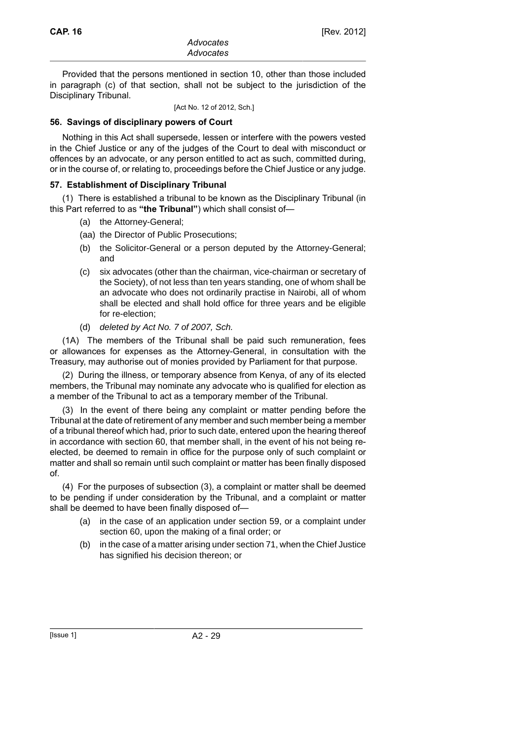Provided that the persons mentioned in section 10, other than those included in paragraph (c) of that section, shall not be subject to the jurisdiction of the Disciplinary Tribunal.

[Act No. 12 of 2012, Sch.]

#### **56. Savings of disciplinary powers of Court**

Nothing in this Act shall supersede, lessen or interfere with the powers vested in the Chief Justice or any of the judges of the Court to deal with misconduct or offences by an advocate, or any person entitled to act as such, committed during, or in the course of, or relating to, proceedings before the Chief Justice or any judge.

#### **57. Establishment of Disciplinary Tribunal**

(1) There is established a tribunal to be known as the Disciplinary Tribunal (in this Part referred to as **"the Tribunal"**) which shall consist of—

- (a) the Attorney-General;
- (aa) the Director of Public Prosecutions;
- (b) the Solicitor-General or a person deputed by the Attorney-General; and
- (c) six advocates (other than the chairman, vice-chairman or secretary of the Society), of not less than ten years standing, one of whom shall be an advocate who does not ordinarily practise in Nairobi, all of whom shall be elected and shall hold office for three years and be eligible for re-election;
- (d) deleted by Act No. 7 of 2007, Sch.

(1A) The members of the Tribunal shall be paid such remuneration, fees or allowances for expenses as the Attorney-General, in consultation with the Treasury, may authorise out of monies provided by Parliament for that purpose.

(2) During the illness, or temporary absence from Kenya, of any of its elected members, the Tribunal may nominate any advocate who is qualified for election as a member of the Tribunal to act as a temporary member of the Tribunal.

(3) In the event of there being any complaint or matter pending before the Tribunal at the date of retirement of any member and such member being a member of a tribunal thereof which had, prior to such date, entered upon the hearing thereof in accordance with section 60, that member shall, in the event of his not being reelected, be deemed to remain in office for the purpose only of such complaint or matter and shall so remain until such complaint or matter has been finally disposed of.

(4) For the purposes of subsection (3), a complaint or matter shall be deemed to be pending if under consideration by the Tribunal, and a complaint or matter shall be deemed to have been finally disposed of—

- (a) in the case of an application under section 59, or a complaint under section 60, upon the making of a final order; or
- (b) in the case of a matter arising under section 71, when the Chief Justice has signified his decision thereon; or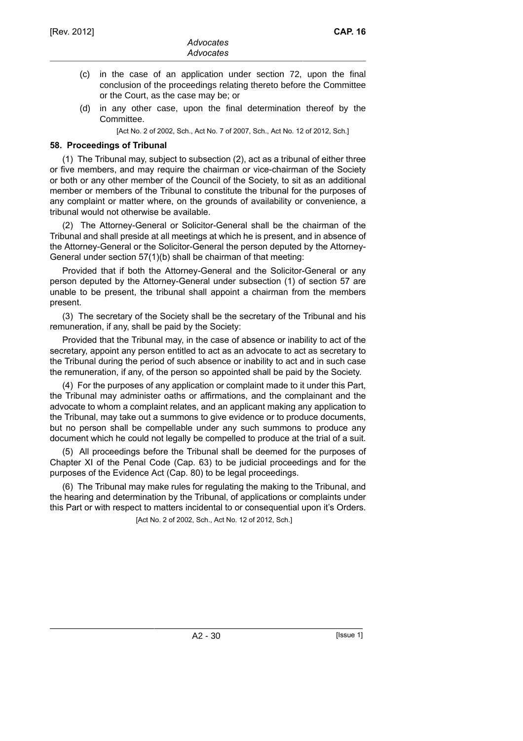- (c) in the case of an application under section 72, upon the final conclusion of the proceedings relating thereto before the Committee or the Court, as the case may be; or
- (d) in any other case, upon the final determination thereof by the Committee.

[Act No. 2 of 2002, Sch., Act No. 7 of 2007, Sch., Act No. 12 of 2012, Sch.]

### **58. Proceedings of Tribunal**

(1) The Tribunal may, subject to subsection (2), act as a tribunal of either three or five members, and may require the chairman or vice-chairman of the Society or both or any other member of the Council of the Society, to sit as an additional member or members of the Tribunal to constitute the tribunal for the purposes of any complaint or matter where, on the grounds of availability or convenience, a tribunal would not otherwise be available.

(2) The Attorney-General or Solicitor-General shall be the chairman of the Tribunal and shall preside at all meetings at which he is present, and in absence of the Attorney-General or the Solicitor-General the person deputed by the Attorney-General under section 57(1)(b) shall be chairman of that meeting:

Provided that if both the Attorney-General and the Solicitor-General or any person deputed by the Attorney-General under subsection (1) of section 57 are unable to be present, the tribunal shall appoint a chairman from the members present.

(3) The secretary of the Society shall be the secretary of the Tribunal and his remuneration, if any, shall be paid by the Society:

Provided that the Tribunal may, in the case of absence or inability to act of the secretary, appoint any person entitled to act as an advocate to act as secretary to the Tribunal during the period of such absence or inability to act and in such case the remuneration, if any, of the person so appointed shall be paid by the Society.

(4) For the purposes of any application or complaint made to it under this Part, the Tribunal may administer oaths or affirmations, and the complainant and the advocate to whom a complaint relates, and an applicant making any application to the Tribunal, may take out a summons to give evidence or to produce documents, but no person shall be compellable under any such summons to produce any document which he could not legally be compelled to produce at the trial of a suit.

(5) All proceedings before the Tribunal shall be deemed for the purposes of Chapter XI of the Penal Code (Cap. 63) to be judicial proceedings and for the purposes of the Evidence Act (Cap. 80) to be legal proceedings.

(6) The Tribunal may make rules for regulating the making to the Tribunal, and the hearing and determination by the Tribunal, of applications or complaints under this Part or with respect to matters incidental to or consequential upon it's Orders. [Act No. 2 of 2002, Sch., Act No. 12 of 2012, Sch.]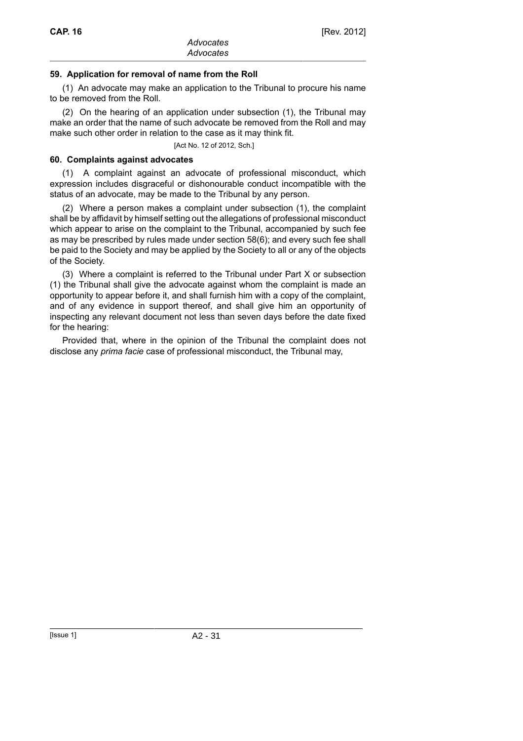### **59. Application for removal of name from the Roll**

(1) An advocate may make an application to the Tribunal to procure his name to be removed from the Roll.

(2) On the hearing of an application under subsection (1), the Tribunal may make an order that the name of such advocate be removed from the Roll and may make such other order in relation to the case as it may think fit.

[Act No. 12 of 2012, Sch.]

#### **60. Complaints against advocates**

(1) A complaint against an advocate of professional misconduct, which expression includes disgraceful or dishonourable conduct incompatible with the status of an advocate, may be made to the Tribunal by any person.

(2) Where a person makes a complaint under subsection (1), the complaint shall be by affidavit by himself setting out the allegations of professional misconduct which appear to arise on the complaint to the Tribunal, accompanied by such fee as may be prescribed by rules made under section 58(6); and every such fee shall be paid to the Society and may be applied by the Society to all or any of the objects of the Society.

(3) Where a complaint is referred to the Tribunal under Part X or subsection (1) the Tribunal shall give the advocate against whom the complaint is made an opportunity to appear before it, and shall furnish him with a copy of the complaint, and of any evidence in support thereof, and shall give him an opportunity of inspecting any relevant document not less than seven days before the date fixed for the hearing:

Provided that, where in the opinion of the Tribunal the complaint does not disclose any *prima facie* case of professional misconduct, the Tribunal may,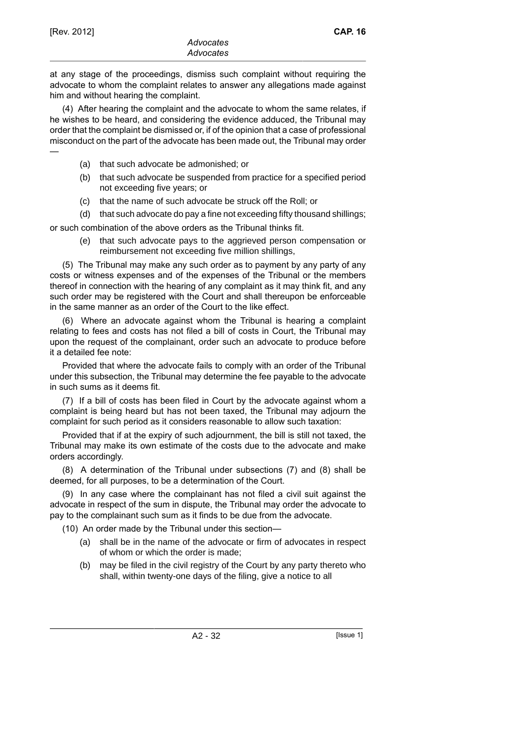—

at any stage of the proceedings, dismiss such complaint without requiring the advocate to whom the complaint relates to answer any allegations made against him and without hearing the complaint.

(4) After hearing the complaint and the advocate to whom the same relates, if he wishes to be heard, and considering the evidence adduced, the Tribunal may order that the complaint be dismissed or, if of the opinion that a case of professional misconduct on the part of the advocate has been made out, the Tribunal may order

- (a) that such advocate be admonished; or
- (b) that such advocate be suspended from practice for a specified period not exceeding five years; or
- (c) that the name of such advocate be struck off the Roll; or
- (d) that such advocate do pay a fine not exceeding fifty thousand shillings;

or such combination of the above orders as the Tribunal thinks fit.

(e) that such advocate pays to the aggrieved person compensation or reimbursement not exceeding five million shillings,

(5) The Tribunal may make any such order as to payment by any party of any costs or witness expenses and of the expenses of the Tribunal or the members thereof in connection with the hearing of any complaint as it may think fit, and any such order may be registered with the Court and shall thereupon be enforceable in the same manner as an order of the Court to the like effect.

(6) Where an advocate against whom the Tribunal is hearing a complaint relating to fees and costs has not filed a bill of costs in Court, the Tribunal may upon the request of the complainant, order such an advocate to produce before it a detailed fee note:

Provided that where the advocate fails to comply with an order of the Tribunal under this subsection, the Tribunal may determine the fee payable to the advocate in such sums as it deems fit.

(7) If a bill of costs has been filed in Court by the advocate against whom a complaint is being heard but has not been taxed, the Tribunal may adjourn the complaint for such period as it considers reasonable to allow such taxation:

Provided that if at the expiry of such adjournment, the bill is still not taxed, the Tribunal may make its own estimate of the costs due to the advocate and make orders accordingly.

(8) A determination of the Tribunal under subsections (7) and (8) shall be deemed, for all purposes, to be a determination of the Court.

(9) In any case where the complainant has not filed a civil suit against the advocate in respect of the sum in dispute, the Tribunal may order the advocate to pay to the complainant such sum as it finds to be due from the advocate.

(10) An order made by the Tribunal under this section—

- (a) shall be in the name of the advocate or firm of advocates in respect of whom or which the order is made;
- (b) may be filed in the civil registry of the Court by any party thereto who shall, within twenty-one days of the filing, give a notice to all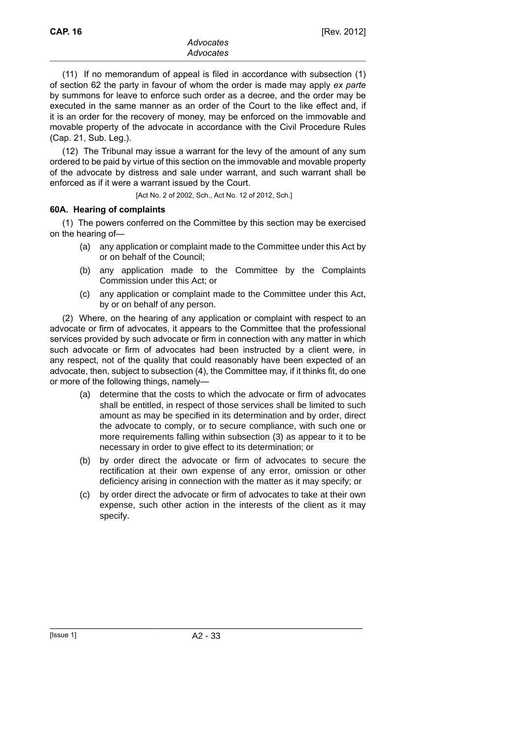(11) If no memorandum of appeal is filed in accordance with subsection (1) of section 62 the party in favour of whom the order is made may apply *ex parte* by summons for leave to enforce such order as a decree, and the order may be executed in the same manner as an order of the Court to the like effect and, if it is an order for the recovery of money, may be enforced on the immovable and movable property of the advocate in accordance with the Civil Procedure Rules (Cap. 21, Sub. Leg.).

(12) The Tribunal may issue a warrant for the levy of the amount of any sum ordered to be paid by virtue of this section on the immovable and movable property of the advocate by distress and sale under warrant, and such warrant shall be enforced as if it were a warrant issued by the Court.

[Act No. 2 of 2002, Sch., Act No. 12 of 2012, Sch.]

#### **60A. Hearing of complaints**

(1) The powers conferred on the Committee by this section may be exercised on the hearing of—

- (a) any application or complaint made to the Committee under this Act by or on behalf of the Council;
- (b) any application made to the Committee by the Complaints Commission under this Act; or
- (c) any application or complaint made to the Committee under this Act, by or on behalf of any person.

(2) Where, on the hearing of any application or complaint with respect to an advocate or firm of advocates, it appears to the Committee that the professional services provided by such advocate or firm in connection with any matter in which such advocate or firm of advocates had been instructed by a client were, in any respect, not of the quality that could reasonably have been expected of an advocate, then, subject to subsection (4), the Committee may, if it thinks fit, do one or more of the following things, namely—

- (a) determine that the costs to which the advocate or firm of advocates shall be entitled, in respect of those services shall be limited to such amount as may be specified in its determination and by order, direct the advocate to comply, or to secure compliance, with such one or more requirements falling within subsection (3) as appear to it to be necessary in order to give effect to its determination; or
- (b) by order direct the advocate or firm of advocates to secure the rectification at their own expense of any error, omission or other deficiency arising in connection with the matter as it may specify; or
- (c) by order direct the advocate or firm of advocates to take at their own expense, such other action in the interests of the client as it may specify.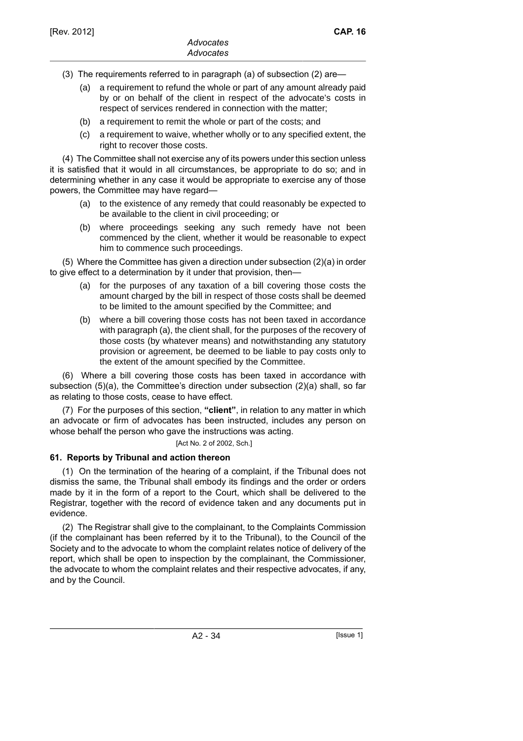- (3) The requirements referred to in paragraph (a) of subsection (2) are—
	- (a) a requirement to refund the whole or part of any amount already paid by or on behalf of the client in respect of the advocate's costs in respect of services rendered in connection with the matter;
	- (b) a requirement to remit the whole or part of the costs; and
	- (c) a requirement to waive, whether wholly or to any specified extent, the right to recover those costs.

(4) The Committee shall not exercise any of its powers under this section unless it is satisfied that it would in all circumstances, be appropriate to do so; and in determining whether in any case it would be appropriate to exercise any of those powers, the Committee may have regard—

- (a) to the existence of any remedy that could reasonably be expected to be available to the client in civil proceeding; or
- (b) where proceedings seeking any such remedy have not been commenced by the client, whether it would be reasonable to expect him to commence such proceedings.

(5) Where the Committee has given a direction under subsection (2)(a) in order to give effect to a determination by it under that provision, then—

- (a) for the purposes of any taxation of a bill covering those costs the amount charged by the bill in respect of those costs shall be deemed to be limited to the amount specified by the Committee; and
- (b) where a bill covering those costs has not been taxed in accordance with paragraph (a), the client shall, for the purposes of the recovery of those costs (by whatever means) and notwithstanding any statutory provision or agreement, be deemed to be liable to pay costs only to the extent of the amount specified by the Committee.

(6) Where a bill covering those costs has been taxed in accordance with subsection (5)(a), the Committee's direction under subsection (2)(a) shall, so far as relating to those costs, cease to have effect.

(7) For the purposes of this section, **"client"**, in relation to any matter in which an advocate or firm of advocates has been instructed, includes any person on whose behalf the person who gave the instructions was acting.

[Act No. 2 of 2002, Sch.]

# **61. Reports by Tribunal and action thereon**

(1) On the termination of the hearing of a complaint, if the Tribunal does not dismiss the same, the Tribunal shall embody its findings and the order or orders made by it in the form of a report to the Court, which shall be delivered to the Registrar, together with the record of evidence taken and any documents put in evidence.

(2) The Registrar shall give to the complainant, to the Complaints Commission (if the complainant has been referred by it to the Tribunal), to the Council of the Society and to the advocate to whom the complaint relates notice of delivery of the report, which shall be open to inspection by the complainant, the Commissioner, the advocate to whom the complaint relates and their respective advocates, if any, and by the Council.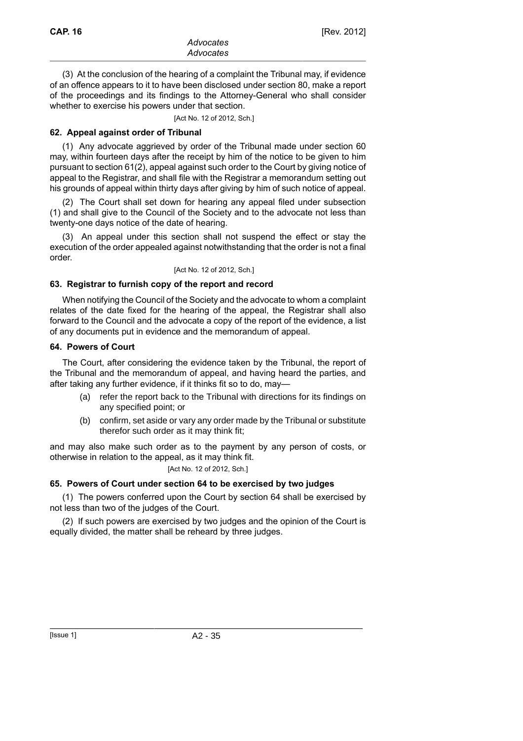(3) At the conclusion of the hearing of a complaint the Tribunal may, if evidence of an offence appears to it to have been disclosed under section 80, make a report of the proceedings and its findings to the Attorney-General who shall consider whether to exercise his powers under that section.

[Act No. 12 of 2012, Sch.]

#### **62. Appeal against order of Tribunal**

(1) Any advocate aggrieved by order of the Tribunal made under section 60 may, within fourteen days after the receipt by him of the notice to be given to him pursuant to section 61(2), appeal against such order to the Court by giving notice of appeal to the Registrar, and shall file with the Registrar a memorandum setting out his grounds of appeal within thirty days after giving by him of such notice of appeal.

(2) The Court shall set down for hearing any appeal filed under subsection (1) and shall give to the Council of the Society and to the advocate not less than twenty-one days notice of the date of hearing.

(3) An appeal under this section shall not suspend the effect or stay the execution of the order appealed against notwithstanding that the order is not a final order.

#### [Act No. 12 of 2012, Sch.]

#### **63. Registrar to furnish copy of the report and record**

When notifying the Council of the Society and the advocate to whom a complaint relates of the date fixed for the hearing of the appeal, the Registrar shall also forward to the Council and the advocate a copy of the report of the evidence, a list of any documents put in evidence and the memorandum of appeal.

#### **64. Powers of Court**

The Court, after considering the evidence taken by the Tribunal, the report of the Tribunal and the memorandum of appeal, and having heard the parties, and after taking any further evidence, if it thinks fit so to do, may—

- (a) refer the report back to the Tribunal with directions for its findings on any specified point; or
- (b) confirm, set aside or vary any order made by the Tribunal or substitute therefor such order as it may think fit;

and may also make such order as to the payment by any person of costs, or otherwise in relation to the appeal, as it may think fit.

[Act No. 12 of 2012, Sch.]

#### **65. Powers of Court under section 64 to be exercised by two judges**

(1) The powers conferred upon the Court by section 64 shall be exercised by not less than two of the judges of the Court.

(2) If such powers are exercised by two judges and the opinion of the Court is equally divided, the matter shall be reheard by three judges.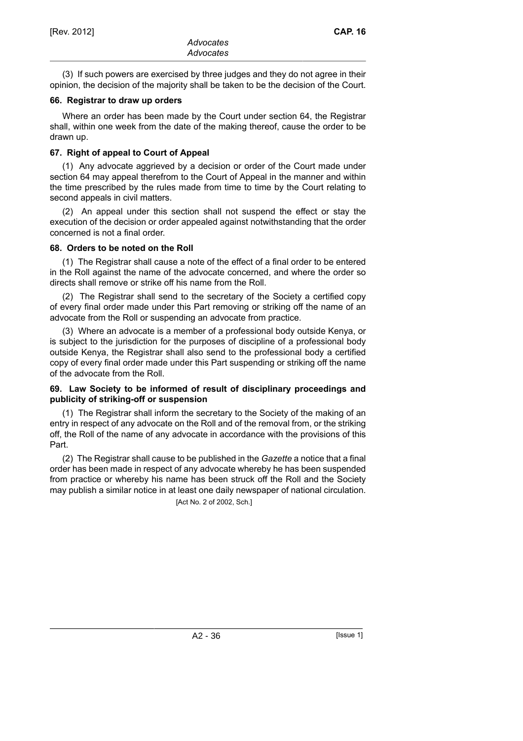(3) If such powers are exercised by three judges and they do not agree in their opinion, the decision of the majority shall be taken to be the decision of the Court.

#### **66. Registrar to draw up orders**

Where an order has been made by the Court under section 64, the Registrar shall, within one week from the date of the making thereof, cause the order to be drawn up.

### **67. Right of appeal to Court of Appeal**

(1) Any advocate aggrieved by a decision or order of the Court made under section 64 may appeal therefrom to the Court of Appeal in the manner and within the time prescribed by the rules made from time to time by the Court relating to second appeals in civil matters.

(2) An appeal under this section shall not suspend the effect or stay the execution of the decision or order appealed against notwithstanding that the order concerned is not a final order.

#### **68. Orders to be noted on the Roll**

(1) The Registrar shall cause a note of the effect of a final order to be entered in the Roll against the name of the advocate concerned, and where the order so directs shall remove or strike off his name from the Roll.

(2) The Registrar shall send to the secretary of the Society a certified copy of every final order made under this Part removing or striking off the name of an advocate from the Roll or suspending an advocate from practice.

(3) Where an advocate is a member of a professional body outside Kenya, or is subject to the jurisdiction for the purposes of discipline of a professional body outside Kenya, the Registrar shall also send to the professional body a certified copy of every final order made under this Part suspending or striking off the name of the advocate from the Roll.

#### **69. Law Society to be informed of result of disciplinary proceedings and publicity of striking-off or suspension**

(1) The Registrar shall inform the secretary to the Society of the making of an entry in respect of any advocate on the Roll and of the removal from, or the striking off, the Roll of the name of any advocate in accordance with the provisions of this Part.

(2) The Registrar shall cause to be published in the *Gazette* a notice that a final order has been made in respect of any advocate whereby he has been suspended from practice or whereby his name has been struck off the Roll and the Society may publish a similar notice in at least one daily newspaper of national circulation.

[Act No. 2 of 2002, Sch.]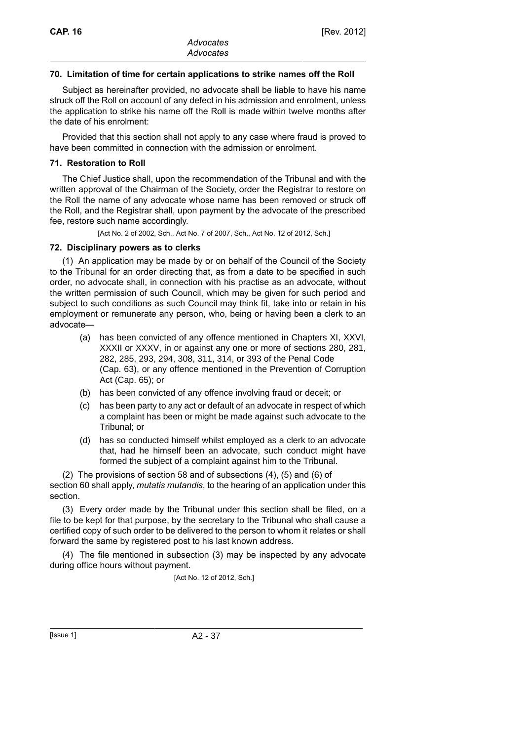### **70. Limitation of time for certain applications to strike names off the Roll**

Subject as hereinafter provided, no advocate shall be liable to have his name struck off the Roll on account of any defect in his admission and enrolment, unless the application to strike his name off the Roll is made within twelve months after the date of his enrolment:

Provided that this section shall not apply to any case where fraud is proved to have been committed in connection with the admission or enrolment.

#### **71. Restoration to Roll**

The Chief Justice shall, upon the recommendation of the Tribunal and with the written approval of the Chairman of the Society, order the Registrar to restore on the Roll the name of any advocate whose name has been removed or struck off the Roll, and the Registrar shall, upon payment by the advocate of the prescribed fee, restore such name accordingly.

[Act No. 2 of 2002, Sch., Act No. 7 of 2007, Sch., Act No. 12 of 2012, Sch.]

#### **72. Disciplinary powers as to clerks**

(1) An application may be made by or on behalf of the Council of the Society to the Tribunal for an order directing that, as from a date to be specified in such order, no advocate shall, in connection with his practise as an advocate, without the written permission of such Council, which may be given for such period and subject to such conditions as such Council may think fit, take into or retain in his employment or remunerate any person, who, being or having been a clerk to an advocate—

- (a) has been convicted of any offence mentioned in Chapters XI, XXVI, XXXII or XXXV, in or against any one or more of sections 280, 281, 282, 285, 293, 294, 308, 311, 314, or 393 of the Penal Code (Cap. 63), or any offence mentioned in the Prevention of Corruption Act (Cap. 65); or
- (b) has been convicted of any offence involving fraud or deceit; or
- (c) has been party to any act or default of an advocate in respect of which a complaint has been or might be made against such advocate to the Tribunal; or
- (d) has so conducted himself whilst employed as a clerk to an advocate that, had he himself been an advocate, such conduct might have formed the subject of a complaint against him to the Tribunal.

(2) The provisions of section 58 and of subsections (4), (5) and (6) of section 60 shall apply, *mutatis mutandis*, to the hearing of an application under this section.

(3) Every order made by the Tribunal under this section shall be filed, on a file to be kept for that purpose, by the secretary to the Tribunal who shall cause a certified copy of such order to be delivered to the person to whom it relates or shall forward the same by registered post to his last known address.

(4) The file mentioned in subsection (3) may be inspected by any advocate during office hours without payment.

[Act No. 12 of 2012, Sch.]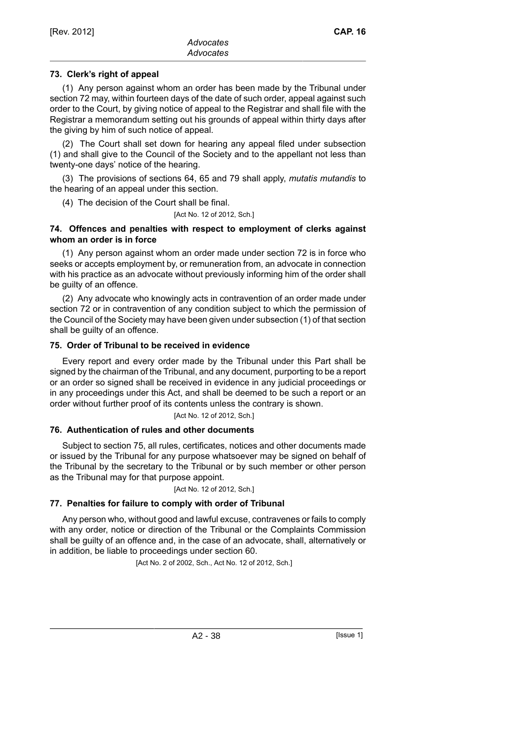# **73. Clerk's right of appeal**

(1) Any person against whom an order has been made by the Tribunal under section 72 may, within fourteen days of the date of such order, appeal against such order to the Court, by giving notice of appeal to the Registrar and shall file with the Registrar a memorandum setting out his grounds of appeal within thirty days after the giving by him of such notice of appeal.

(2) The Court shall set down for hearing any appeal filed under subsection (1) and shall give to the Council of the Society and to the appellant not less than twenty-one days' notice of the hearing.

(3) The provisions of sections 64, 65 and 79 shall apply, *mutatis mutandis* to the hearing of an appeal under this section.

(4) The decision of the Court shall be final.

[Act No. 12 of 2012, Sch.]

### **74. Offences and penalties with respect to employment of clerks against whom an order is in force**

(1) Any person against whom an order made under section 72 is in force who seeks or accepts employment by, or remuneration from, an advocate in connection with his practice as an advocate without previously informing him of the order shall be guilty of an offence.

(2) Any advocate who knowingly acts in contravention of an order made under section 72 or in contravention of any condition subject to which the permission of the Council of the Society may have been given under subsection (1) of that section shall be guilty of an offence.

# **75. Order of Tribunal to be received in evidence**

Every report and every order made by the Tribunal under this Part shall be signed by the chairman of the Tribunal, and any document, purporting to be a report or an order so signed shall be received in evidence in any judicial proceedings or in any proceedings under this Act, and shall be deemed to be such a report or an order without further proof of its contents unless the contrary is shown.

[Act No. 12 of 2012, Sch.]

# **76. Authentication of rules and other documents**

Subject to section 75, all rules, certificates, notices and other documents made or issued by the Tribunal for any purpose whatsoever may be signed on behalf of the Tribunal by the secretary to the Tribunal or by such member or other person as the Tribunal may for that purpose appoint.

[Act No. 12 of 2012, Sch.]

# **77. Penalties for failure to comply with order of Tribunal**

Any person who, without good and lawful excuse, contravenes or fails to comply with any order, notice or direction of the Tribunal or the Complaints Commission shall be guilty of an offence and, in the case of an advocate, shall, alternatively or in addition, be liable to proceedings under section 60.

[Act No. 2 of 2002, Sch., Act No. 12 of 2012, Sch.]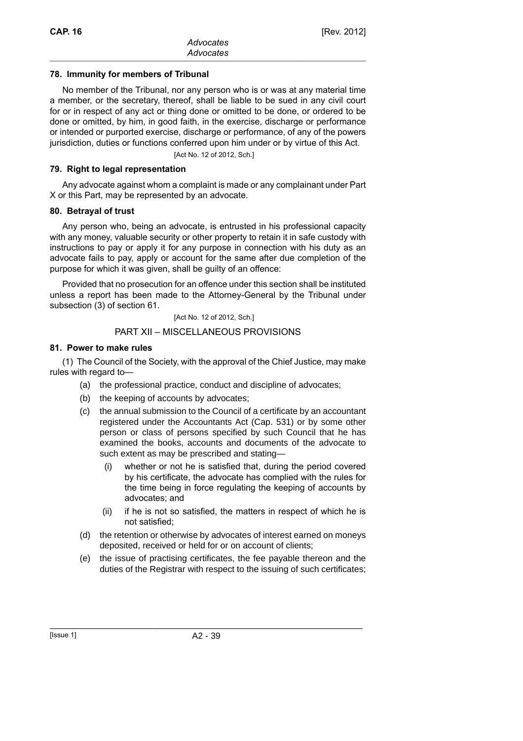### **78. Immunity for members of Tribunal**

No member of the Tribunal, nor any person who is or was at any material time a member, or the secretary, thereof, shall be liable to be sued in any civil court for or in respect of any act or thing done or omitted to be done, or ordered to be done or omitted, by him, in good faith, in the exercise, discharge or performance or intended or purported exercise, discharge or performance, of any of the powers jurisdiction, duties or functions conferred upon him under or by virtue of this Act.

[Act No. 12 of 2012, Sch.]

#### **79. Right to legal representation**

Any advocate against whom a complaint is made or any complainant under Part X or this Part, may be represented by an advocate.

### **80. Betrayal of trust**

Any person who, being an advocate, is entrusted in his professional capacity with any money, valuable security or other property to retain it in safe custody with instructions to pay or apply it for any purpose in connection with his duty as an advocate fails to pay, apply or account for the same after due completion of the purpose for which it was given, shall be guilty of an offence:

Provided that no prosecution for an offence under this section shall be instituted unless a report has been made to the Attorney-General by the Tribunal under subsection (3) of section 61.

[Act No. 12 of 2012, Sch.]

### PART XII – MISCELLANEOUS PROVISIONS

### **81. Power to make rules**

(1) The Council of the Society, with the approval of the Chief Justice, may make rules with regard to—

- (a) the professional practice, conduct and discipline of advocates;
- (b) the keeping of accounts by advocates;
- (c) the annual submission to the Council of a certificate by an accountant registered under the Accountants Act (Cap. 531) or by some other person or class of persons specified by such Council that he has examined the books, accounts and documents of the advocate to such extent as may be prescribed and stating—
	- (i) whether or not he is satisfied that, during the period covered by his certificate, the advocate has complied with the rules for the time being in force regulating the keeping of accounts by advocates; and
	- (ii) if he is not so satisfied, the matters in respect of which he is not satisfied;
- (d) the retention or otherwise by advocates of interest earned on moneys deposited, received or held for or on account of clients;
- (e) the issue of practising certificates, the fee payable thereon and the duties of the Registrar with respect to the issuing of such certificates;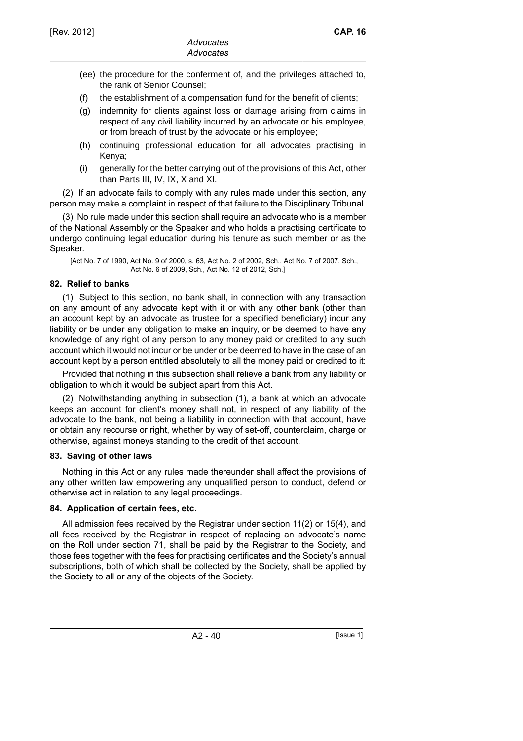- (ee) the procedure for the conferment of, and the privileges attached to, the rank of Senior Counsel;
- (f) the establishment of a compensation fund for the benefit of clients;
- (g) indemnity for clients against loss or damage arising from claims in respect of any civil liability incurred by an advocate or his employee, or from breach of trust by the advocate or his employee;
- (h) continuing professional education for all advocates practising in Kenya;
- (i) generally for the better carrying out of the provisions of this Act, other than Parts III, IV, IX, X and XI.

(2) If an advocate fails to comply with any rules made under this section, any person may make a complaint in respect of that failure to the Disciplinary Tribunal.

(3) No rule made under this section shall require an advocate who is a member of the National Assembly or the Speaker and who holds a practising certificate to undergo continuing legal education during his tenure as such member or as the Speaker.

[Act No. 7 of 1990, Act No. 9 of 2000, s. 63, Act No. 2 of 2002, Sch., Act No. 7 of 2007, Sch., Act No. 6 of 2009, Sch., Act No. 12 of 2012, Sch.]

# **82. Relief to banks**

(1) Subject to this section, no bank shall, in connection with any transaction on any amount of any advocate kept with it or with any other bank (other than an account kept by an advocate as trustee for a specified beneficiary) incur any liability or be under any obligation to make an inquiry, or be deemed to have any knowledge of any right of any person to any money paid or credited to any such account which it would not incur or be under or be deemed to have in the case of an account kept by a person entitled absolutely to all the money paid or credited to it:

Provided that nothing in this subsection shall relieve a bank from any liability or obligation to which it would be subject apart from this Act.

(2) Notwithstanding anything in subsection (1), a bank at which an advocate keeps an account for client's money shall not, in respect of any liability of the advocate to the bank, not being a liability in connection with that account, have or obtain any recourse or right, whether by way of set-off, counterclaim, charge or otherwise, against moneys standing to the credit of that account.

#### **83. Saving of other laws**

Nothing in this Act or any rules made thereunder shall affect the provisions of any other written law empowering any unqualified person to conduct, defend or otherwise act in relation to any legal proceedings.

# **84. Application of certain fees, etc.**

All admission fees received by the Registrar under section 11(2) or 15(4), and all fees received by the Registrar in respect of replacing an advocate's name on the Roll under section 71, shall be paid by the Registrar to the Society, and those fees together with the fees for practising certificates and the Society's annual subscriptions, both of which shall be collected by the Society, shall be applied by the Society to all or any of the objects of the Society.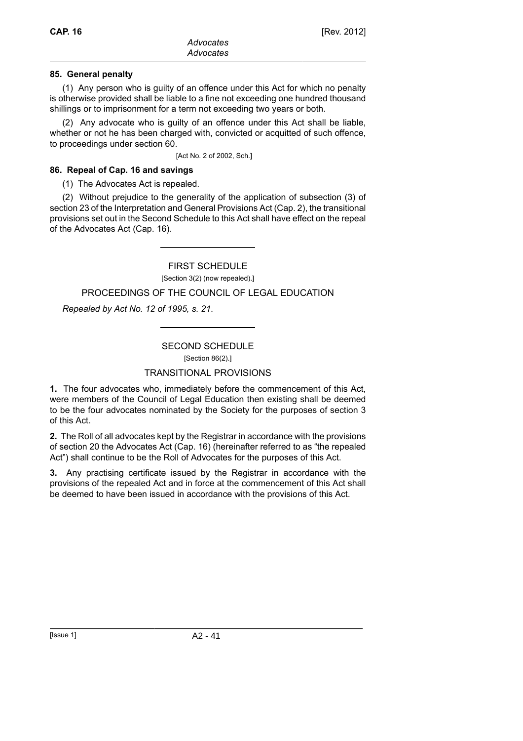### **85. General penalty**

(1) Any person who is guilty of an offence under this Act for which no penalty is otherwise provided shall be liable to a fine not exceeding one hundred thousand shillings or to imprisonment for a term not exceeding two years or both.

(2) Any advocate who is guilty of an offence under this Act shall be liable, whether or not he has been charged with, convicted or acquitted of such offence, to proceedings under section 60.

[Act No. 2 of 2002, Sch.]

### **86. Repeal of Cap. 16 and savings**

(1) The Advocates Act is repealed.

(2) Without prejudice to the generality of the application of subsection (3) of section 23 of the Interpretation and General Provisions Act (Cap. 2), the transitional provisions set out in the Second Schedule to this Act shall have effect on the repeal of the Advocates Act (Cap. 16).

### FIRST SCHEDULE

[Section 3(2) (now repealed).]

### PROCEEDINGS OF THE COUNCIL OF LEGAL EDUCATION

*Repealed by Act No. 12 of 1995, s. 21*.

# SECOND SCHEDULE

# TRANSITIONAL PROVISIONS

**1.** The four advocates who, immediately before the commencement of this Act, were members of the Council of Legal Education then existing shall be deemed to be the four advocates nominated by the Society for the purposes of section 3 of this Act.

**2.** The Roll of all advocates kept by the Registrar in accordance with the provisions of section 20 the Advocates Act (Cap. 16) (hereinafter referred to as "the repealed Act") shall continue to be the Roll of Advocates for the purposes of this Act.

**3.** Any practising certificate issued by the Registrar in accordance with the provisions of the repealed Act and in force at the commencement of this Act shall be deemed to have been issued in accordance with the provisions of this Act.

<sup>[</sup>Section 86(2).]